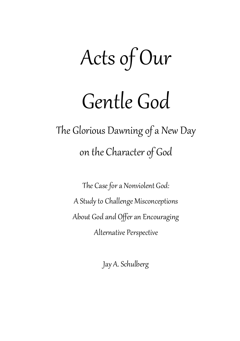# Acts of Our

## Gentle God

The Glorious Dawning of a New Day on the Character of God

> The Case for a Nonviolent God: A Study to Challenge Misconceptions About God and Offer an Encouraging Alternative Perspective

> > Jay A. Schulberg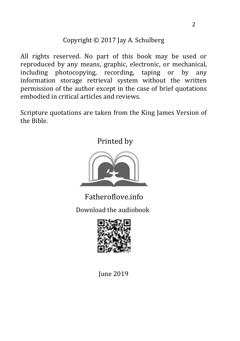### Copyright © 2017 Jay A. Schulberg

All rights reserved. No part of this book may be used or reproduced by any means, graphic, electronic, or mechanical, including photocopying, recording, taping or by any information storage retrieval system without the written permission of the author except in the case of brief quotations embodied in critical articles and reviews.

Scripture quotations are taken from the King James Version of the Bible.

Printed by



Download the audiobook Fatheroflove.info



June 2019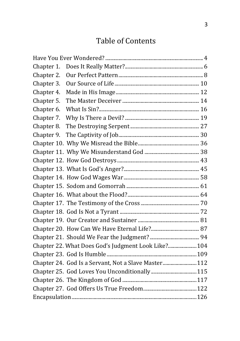## Table of Contents

| Chapter 1. |                                                      |
|------------|------------------------------------------------------|
| Chapter 2. |                                                      |
| Chapter 3. |                                                      |
| Chapter 4. |                                                      |
| Chapter 5. |                                                      |
| Chapter 6. |                                                      |
| Chapter 7. |                                                      |
| Chapter 8. |                                                      |
| Chapter 9. |                                                      |
|            |                                                      |
|            |                                                      |
|            |                                                      |
|            |                                                      |
|            |                                                      |
|            |                                                      |
|            |                                                      |
|            |                                                      |
|            |                                                      |
|            |                                                      |
|            |                                                      |
|            |                                                      |
|            | Chapter 22. What Does God's Judgment Look Like? 104  |
|            |                                                      |
|            | Chapter 24. God Is a Servant, Not a Slave Master 112 |
|            |                                                      |
|            |                                                      |
|            |                                                      |
|            |                                                      |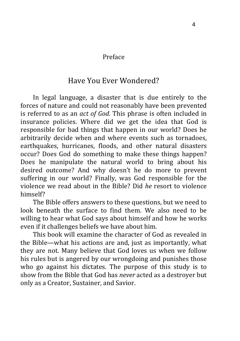#### Preface

#### Have You Ever Wondered?

In legal language, a disaster that is due entirely to the forces of nature and could not reasonably have been prevented is referred to as an *act of God*. This phrase is often included in insurance policies. Where did we get the idea that God is responsible for bad things that happen in our world? Does he arbitrarily decide when and where events such as tornadoes, earthquakes, hurricanes, floods, and other natural disasters occur? Does God do something to make these things happen? Does he manipulate the natural world to bring about his desired outcome? And why doesn't he do more to prevent suffering in our world? Finally, was God responsible for the violence we read about in the Bible? Did *he* resort to violence himself?

The Bible offers answers to these questions, but we need to look beneath the surface to find them. We also need to be willing to hear what God says about himself and how he works even if it challenges beliefs we have about him.

This book will examine the character of God as revealed in the Bible—what his actions are and, just as importantly, what they are not. Many believe that God loves us when we follow his rules but is angered by our wrongdoing and punishes those who go against his dictates. The purpose of this study is to show from the Bible that God has *never* acted as a destroyer but only as a Creator, Sustainer, and Savior.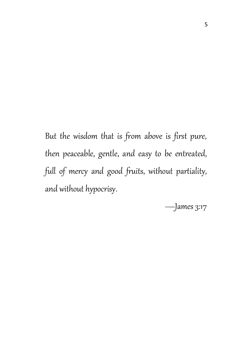But the wisdom that is from above is first pure, then peaceable, gentle, and easy to be entreated, full of mercy and good fruits, without partiality, and without hypocrisy.

—James 3:17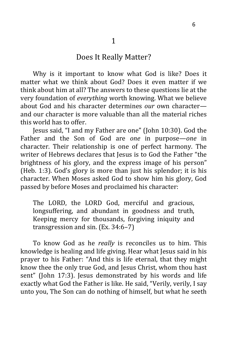#### Does It Really Matter?

Why is it important to know what God is like? Does it matter what we think about God? Does it even matter if we think about him at all? The answers to these questions lie at the very foundation of *everything* worth knowing. What we believe about God and his character determines *our* own character and our character is more valuable than all the material riches this world has to offer.

Jesus said, "I and my Father are one" (John 10:30). God the Father and the Son of God are *one* in purpose—*one* in character. Their relationship is one of perfect harmony. The writer of Hebrews declares that Jesus is to God the Father "the brightness of his glory, and the express image of his person" (Heb. 1:3). God's glory is more than just his splendor; it is his character. When Moses asked God to show him his glory, God passed by before Moses and proclaimed his character:

The LORD, the LORD God, merciful and gracious, longsuffering, and abundant in goodness and truth, Keeping mercy for thousands, forgiving iniquity and transgression and sin. (Ex. 34:6–7)

To know God as he *really* is reconciles us to him. This knowledge is healing and life giving. Hear what Jesus said in his prayer to his Father: "And this is life eternal, that they might know thee the only true God, and Jesus Christ, whom thou hast sent" (John 17:3). Jesus demonstrated by his words and life exactly what God the Father is like. He said, "Verily, verily, I say unto you, The Son can do nothing of himself, but what he seeth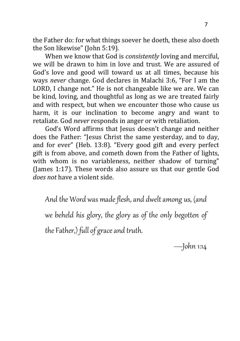the Father do: for what things soever he doeth, these also doeth the Son likewise" (John 5:19)*.*

When we know that God is *consistently* loving and merciful, we will be drawn to him in love and trust. We are assured of God's love and good will toward us at all times, because his ways *never* change. God declares in Malachi 3:6, "For I am the LORD, I change not." He is not changeable like we are. We can be kind, loving, and thoughtful as long as we are treated fairly and with respect, but when we encounter those who cause us harm, it is our inclination to become angry and want to retaliate. God *never* responds in anger or with retaliation.

God's Word affirms that Jesus doesn't change and neither does the Father: "Jesus Christ the same yesterday, and to day, and for ever" (Heb. 13:8). "Every good gift and every perfect gift is from above, and cometh down from the Father of lights, with whom is no variableness, neither shadow of turning" (James 1:17). These words also assure us that our gentle God *does not* have a violent side.

And the Word was made flesh, and dwelt among us, (and we beheld his glory, the glory as of the only begotten of the Father,) full of grace and truth.

—John 1:14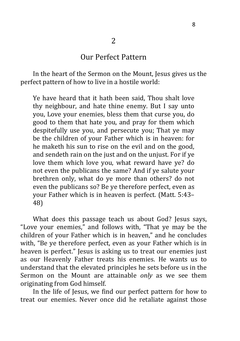#### Our Perfect Pattern

In the heart of the Sermon on the Mount, Jesus gives us the perfect pattern of how to live in a hostile world:

Ye have heard that it hath been said, Thou shalt love thy neighbour, and hate thine enemy. But I say unto you, Love your enemies, bless them that curse you, do good to them that hate you, and pray for them which despitefully use you, and persecute you; That ye may be the children of your Father which is in heaven: for he maketh his sun to rise on the evil and on the good, and sendeth rain on the just and on the unjust. For if ye love them which love you, what reward have ye? do not even the publicans the same? And if ye salute your brethren only, what do ye more than others? do not even the publicans so? Be ye therefore perfect, even as your Father which is in heaven is perfect*.* (Matt. 5:43– 48)

What does this passage teach us about God? Jesus says, "Love your enemies," and follows with, "That ye may be the children of your Father which is in heaven," and he concludes with, "Be ye therefore perfect, even as your Father which is in heaven is perfect." Jesus is asking us to treat our enemies just as our Heavenly Father treats his enemies. He wants us to understand that the elevated principles he sets before us in the Sermon on the Mount are attainable *only* as we see them originating from God himself.

In the life of Jesus, we find our perfect pattern for how to treat our enemies. Never once did he retaliate against those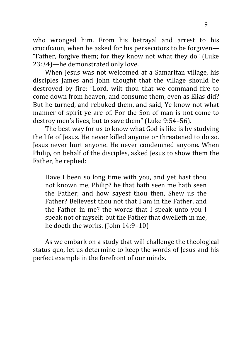who wronged him. From his betrayal and arrest to his crucifixion, when he asked for his persecutors to be forgiven— "Father, forgive them; for they know not what they do" (Luke 23:34)—he demonstrated only love.

When Jesus was not welcomed at a Samaritan village, his disciples James and John thought that the village should be destroyed by fire: "Lord, wilt thou that we command fire to come down from heaven, and consume them, even as Elias did? But he turned, and rebuked them, and said, Ye know not what manner of spirit ye are of. For the Son of man is not come to destroy men's lives, but to save them" (Luke 9:54–56).

The best way for us to know what God is like is by studying the life of Jesus. He never killed anyone or threatened to do so. Jesus never hurt anyone. He never condemned anyone. When Philip, on behalf of the disciples, asked Jesus to show them the Father, he replied:

Have I been so long time with you, and yet hast thou not known me, Philip? he that hath seen me hath seen the Father; and how sayest thou then, Shew us the Father? Believest thou not that I am in the Father, and the Father in me? the words that I speak unto you I speak not of myself: but the Father that dwelleth in me, he doeth the works. (John 14:9–10)

As we embark on a study that will challenge the theological status quo, let us determine to keep the words of Jesus and his perfect example in the forefront of our minds.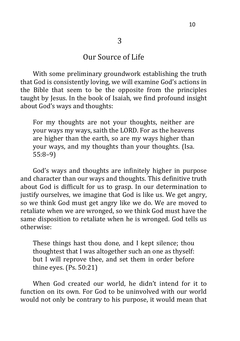#### Our Source of Life

With some preliminary groundwork establishing the truth that God is consistently loving, we will examine God's actions in the Bible that seem to be the opposite from the principles taught by Jesus. In the book of Isaiah, we find profound insight about God's ways and thoughts:

For my thoughts are not your thoughts, neither are your ways my ways, saith the LORD. For as the heavens are higher than the earth, so are my ways higher than your ways, and my thoughts than your thoughts. (Isa. 55:8–9)

God's ways and thoughts are infinitely higher in purpose and character than our ways and thoughts. This definitive truth about God is difficult for us to grasp. In our determination to justify ourselves, we imagine that God is like us. We get angry, so we think God must get angry like we do. We are moved to retaliate when we are wronged, so we think God must have the same disposition to retaliate when he is wronged. God tells us otherwise:

These things hast thou done, and I kept silence; thou thoughtest that I was altogether such an one as thyself: but I will reprove thee, and set them in order before thine eyes. (Ps. 50:21)

When God created our world, he didn't intend for it to function on its own. For God to be uninvolved with our world would not only be contrary to his purpose, it would mean that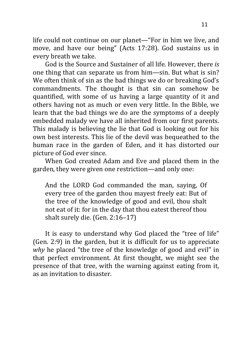life could not continue on our planet—"For in him we live, and move, and have our being" (Acts 17:28). God sustains us in every breath we take.

God is the Source and Sustainer of all life. However, there *is* one thing that can separate us from him—sin. But what is sin? We often think of sin as the bad things we do or breaking God's commandments. The thought is that sin can somehow be quantified, with some of us having a large quantity of it and others having not as much or even very little. In the Bible, we learn that the bad things we do are the symptoms of a deeply embedded malady we have all inherited from our first parents. This malady is believing the lie that God is looking out for his own best interests. This lie of the devil was bequeathed to the human race in the garden of Eden, and it has distorted our picture of God ever since.

When God created Adam and Eve and placed them in the garden, they were given one restriction—and only one:

And the LORD God commanded the man, saying, Of every tree of the garden thou mayest freely eat: But of the tree of the knowledge of good and evil, thou shalt not eat of it: for in the day that thou eatest thereof thou shalt surely die. (Gen. 2:16–17)

It is easy to understand why God placed the "tree of life" (Gen. 2:9) in the garden, but it is difficult for us to appreciate *why* he placed "the tree of the knowledge of good and evil" in that perfect environment. At first thought, we might see the presence of that tree, with the warning against eating from it, as an invitation to disaster.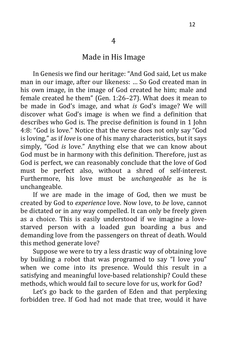In Genesis we find our heritage: "And God said, Let us make man in our image, after our likeness: … So God created man in his own image, in the image of God created he him; male and female created he them" (Gen. 1:26–27). What does it mean to be made in God's image, and what *is* God's image? We will discover what God's image is when we find a definition that describes who God is. The precise definition is found in 1 John 4:8: "God is love." Notice that the verse does not only say "God is loving," as if *love* is one of his many characteristics, but it says simply, "God *is* love." Anything else that we can know about God must be in harmony with this definition. Therefore, just as God is perfect, we can reasonably conclude that the love of God must be perfect also, without a shred of self-interest. Furthermore, his love must be *unchangeable* as he is unchangeable.

If we are made in the image of God, then we must be created by God to *experience* love. Now love, to *be* love, cannot be dictated or in any way compelled. It can only be freely given as a choice. This is easily understood if we imagine a lovestarved person with a loaded gun boarding a bus and demanding love from the passengers on threat of death. Would this method generate love?

Suppose we were to try a less drastic way of obtaining love by building a robot that was programed to say "I love you" when we come into its presence. Would this result in a satisfying and meaningful love-based relationship? Could these methods, which would fail to secure love for us, work for God?

Let's go back to the garden of Eden and that perplexing forbidden tree. If God had not made that tree, would it have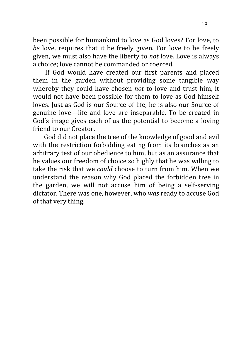been possible for humankind to love as God loves? For love, to *be* love, requires that it be freely given. For love to be freely given, we must also have the liberty to *not* love. Love is always a choice; love cannot be commanded or coerced.

If God would have created our first parents and placed them in the garden without providing some tangible way whereby they could have chosen *not* to love and trust him, it would not have been possible for them to love as God himself loves. Just as God is our Source of life, he is also our Source of genuine love—life and love are inseparable. To be created in God's image gives each of us the potential to become a loving friend to our Creator.

 God did not place the tree of the knowledge of good and evil with the restriction forbidding eating from its branches as an arbitrary test of our obedience to him, but as an assurance that he values our freedom of choice so highly that he was willing to take the risk that we *could* choose to turn from him. When we understand the reason why God placed the forbidden tree in the garden, we will not accuse him of being a self-serving dictator. There was one, however, who *was* ready to accuse God of that very thing.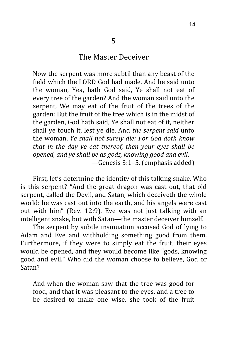#### The Master Deceiver

5

Now the serpent was more subtil than any beast of the field which the LORD God had made. And he said unto the woman, Yea, hath God said, Ye shall not eat of every tree of the garden? And the woman said unto the serpent, We may eat of the fruit of the trees of the garden: But the fruit of the tree which is in the midst of the garden, God hath said, Ye shall not eat of it, neither shall ye touch it, lest ye die. And *the serpent said* unto the woman, *Ye shall not surely die: For God doth know that in the day ye eat thereof, then your eyes shall be opened, and ye shall be as gods, knowing good and evil*. —Genesis 3:1–5, (emphasis added)

First, let's determine the identity of this talking snake. Who is this serpent? "And the great dragon was cast out, that old serpent, called the Devil, and Satan, which deceiveth the whole world: he was cast out into the earth, and his angels were cast out with him" (Rev. 12:9). Eve was not just talking with an intelligent snake, but with Satan—the master deceiver himself.

The serpent by subtle insinuation accused God of lying to Adam and Eve and withholding something good from them. Furthermore, if they were to simply eat the fruit, their eyes would be opened, and they would become like "gods, knowing good and evil." Who did the woman choose to believe, God or Satan?

And when the woman saw that the tree was good for food, and that it was pleasant to the eyes, and a tree to be desired to make one wise, she took of the fruit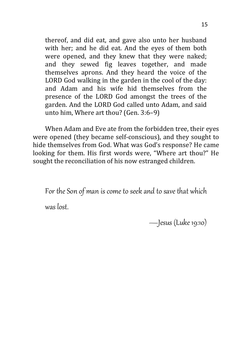thereof, and did eat, and gave also unto her husband with her; and he did eat. And the eyes of them both were opened, and they knew that they were naked; and they sewed fig leaves together, and made themselves aprons. And they heard the voice of the LORD God walking in the garden in the cool of the day: and Adam and his wife hid themselves from the presence of the LORD God amongst the trees of the garden. And the LORD God called unto Adam, and said unto him, Where art thou? (Gen. 3:6–9)

When Adam and Eve ate from the forbidden tree, their eyes were opened (they became self-conscious), and they sought to hide themselves from God. What was God's response? He came looking for them. His first words were, "Where art thou?" He sought the reconciliation of his now estranged children.

For the Son of man is come to seek and to save that which

was lost.

—Jesus (Luke 19:10)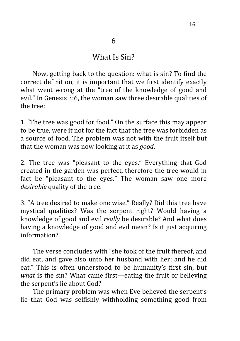#### What Is Sin?

Now, getting back to the question: what is sin? To find the correct definition, it is important that we first identify exactly what went wrong at the "tree of the knowledge of good and evil." In Genesis 3:6, the woman saw three desirable qualities of the tree:

1. "The tree was good for food." On the surface this may appear to be true, were it not for the fact that the tree was forbidden as a source of food. The problem was not with the fruit itself but that the woman was now looking at it as *good*.

2. The tree was "pleasant to the eyes." Everything that God created in the garden was perfect, therefore the tree would in fact be "pleasant to the eyes." The woman saw one more *desirable* quality of the tree.

3. "A tree desired to make one wise." Really? Did this tree have mystical qualities? Was the serpent right? Would having a knowledge of good and evil *really* be desirable? And what does having a knowledge of good and evil mean? Is it just acquiring information?

The verse concludes with "she took of the fruit thereof, and did eat, and gave also unto her husband with her; and he did eat." This is often understood to be humanity's first sin, but *what* is the sin? What came first—eating the fruit or believing the serpent's lie about God?

The primary problem was when Eve believed the serpent's lie that God was selfishly withholding something good from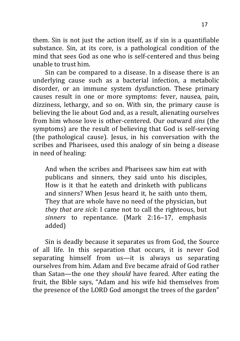them. Sin is not just the action itself, as if sin is a quantifiable substance. Sin, at its core, is a pathological condition of the mind that sees God as one who is self-centered and thus being unable to trust him.

Sin can be compared to a disease. In a disease there is an underlying cause such as a bacterial infection, a metabolic disorder, or an immune system dysfunction. These primary causes result in one or more symptoms: fever, nausea, pain, dizziness, lethargy, and so on. With sin, the primary cause is believing the lie about God and, as a result, alienating ourselves from him whose love is other-centered. Our outward *sins* (the symptoms) are the result of believing that God is self-serving (the pathological cause). Jesus, in his conversation with the scribes and Pharisees, used this analogy of sin being a disease in need of healing:

And when the scribes and Pharisees saw him eat with publicans and sinners, they said unto his disciples, How is it that he eateth and drinketh with publicans and sinners? When Jesus heard it, he saith unto them, They that are whole have no need of the physician, but *they that are sick*: I came not to call the righteous, but *sinners* to repentance. (Mark 2:16–17, emphasis added)

Sin is deadly because it separates us from God, the Source of all life. In this separation that occurs, it is never God separating himself from us—it is always us separating ourselves from him. Adam and Eve became afraid of God rather than Satan—the one they *should* have feared. After eating the fruit, the Bible says, "Adam and his wife hid themselves from the presence of the LORD God amongst the trees of the garden"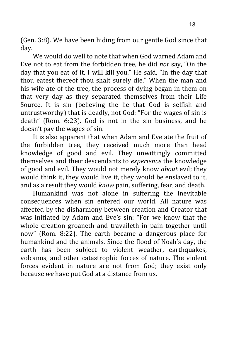(Gen. 3:8). We have been hiding from our gentle God since that day.

We would do well to note that when God warned Adam and Eve not to eat from the forbidden tree, he did *not* say, "On the day that you eat of it, I will kill you." He said, "In the day that thou eatest thereof thou shalt surely die." When the man and his wife ate of the tree, the process of dying began in them on that very day as they separated themselves from their Life Source. It is sin (believing the lie that God is selfish and untrustworthy) that is deadly, not God: "For the wages of sin is death" (Rom. 6:23). God is not in the sin business, and he doesn't pay the wages of sin.

It is also apparent that when Adam and Eve ate the fruit of the forbidden tree, they received much more than head knowledge of good and evil. They unwittingly committed themselves and their descendants to *experience* the knowledge of good and evil. They would not merely know *about* evil; they would think it, they would live it, they would be enslaved to it, and as a result they would *know* pain, suffering, fear, and death.

Humankind was not alone in suffering the inevitable consequences when sin entered our world. All nature was affected by the disharmony between creation and Creator that was initiated by Adam and Eve's sin: "For we know that the whole creation groaneth and travaileth in pain together until now" (Rom. 8:22). The earth became a dangerous place for humankind and the animals. Since the flood of Noah's day, the earth has been subject to violent weather, earthquakes, volcanos, and other catastrophic forces of nature. The violent forces evident in nature are not from God; they exist only because *we* have put God at a distance from us.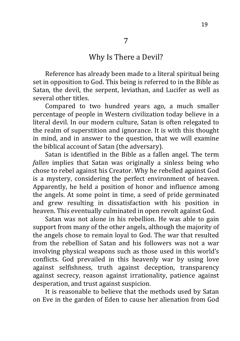#### Why Is There a Devil?

Reference has already been made to a literal spiritual being set in opposition to God. This being is referred to in the Bible as Satan, the devil, the serpent, leviathan, and Lucifer as well as several other titles.

Compared to two hundred years ago, a much smaller percentage of people in Western civilization today believe in a literal devil. In our modern culture, Satan is often relegated to the realm of superstition and ignorance. It is with this thought in mind, and in answer to the question, that we will examine the biblical account of Satan (the adversary).

Satan is identified in the Bible as a fallen angel. The term *fallen* implies that Satan was originally a sinless being who chose to rebel against his Creator. Why he rebelled against God is a mystery, considering the perfect environment of heaven. Apparently, he held a position of honor and influence among the angels. At some point in time, a seed of pride germinated and grew resulting in dissatisfaction with his position in heaven. This eventually culminated in open revolt against God.

Satan was not alone in his rebellion. He was able to gain support from many of the other angels, although the majority of the angels chose to remain loyal to God. The war that resulted from the rebellion of Satan and his followers was not a war involving physical weapons such as those used in this world's conflicts. God prevailed in this heavenly war by using love against selfishness, truth against deception, transparency against secrecy, reason against irrationality, patience against desperation, and trust against suspicion.

It is reasonable to believe that the methods used by Satan on Eve in the garden of Eden to cause her alienation from God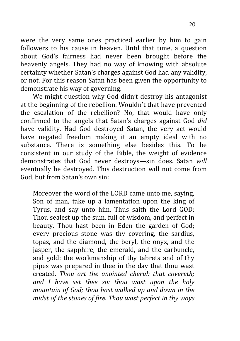were the very same ones practiced earlier by him to gain followers to his cause in heaven. Until that time, a question about God's fairness had never been brought before the heavenly angels. They had no way of knowing with absolute certainty whether Satan's charges against God had any validity, or not. For this reason Satan has been given the opportunity to demonstrate his way of governing.

We might question why God didn't destroy his antagonist at the beginning of the rebellion. Wouldn't that have prevented the escalation of the rebellion? No, that would have only confirmed to the angels that Satan's charges against God *did* have validity. Had God destroyed Satan, the very act would have negated freedom making it an empty ideal with no substance. There is something else besides this. To be consistent in our study of the Bible, the weight of evidence demonstrates that God never destroys—sin does. Satan *will* eventually be destroyed. This destruction will not come from God, but from Satan's own sin:

Moreover the word of the LORD came unto me, saying, Son of man, take up a lamentation upon the king of Tyrus, and say unto him, Thus saith the Lord GOD; Thou sealest up the sum, full of wisdom, and perfect in beauty. Thou hast been in Eden the garden of God; every precious stone was thy covering, the sardius, topaz, and the diamond, the beryl, the onyx, and the jasper, the sapphire, the emerald, and the carbuncle, and gold: the workmanship of thy tabrets and of thy pipes was prepared in thee in the day that thou wast created. *Thou art the anointed cherub that covereth; and I have set thee so: thou wast upon the holy mountain of God; thou hast walked up and down in the midst of the stones of fire. Thou wast perfect in thy ways*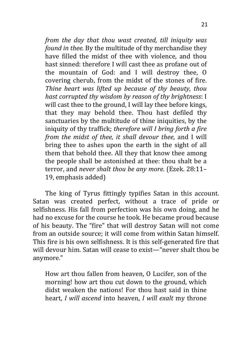*from the day that thou wast created, till iniquity was found in thee.* By the multitude of thy merchandise they have filled the midst of thee with violence, and thou hast sinned: therefore I will cast thee as profane out of the mountain of God: and I will destroy thee, O covering cherub, from the midst of the stones of fire. *Thine heart was lifted up because of thy beauty, thou hast corrupted thy wisdom by reason of thy brightness*: I will cast thee to the ground, I will lay thee before kings, that they may behold thee. Thou hast defiled thy sanctuaries by the multitude of thine iniquities, by the iniquity of thy traffick; *therefore will I bring forth a fire from the midst of thee, it shall devour thee*, and I will bring thee to ashes upon the earth in the sight of all them that behold thee. All they that know thee among the people shall be astonished at thee: thou shalt be a terror, and *never shalt thou be any more.* (Ezek. 28:11– 19, emphasis added)

The king of Tyrus fittingly typifies Satan in this account. Satan was created perfect, without a trace of pride or selfishness. His fall from perfection was his own doing, and he had no excuse for the course he took. He became proud because of his beauty. The "fire" that will destroy Satan will not come from an outside source; it will come from within Satan himself. This fire is his own selfishness. It is this self-generated fire that will devour him. Satan will cease to exist—"never shalt thou be anymore*.*"

How art thou fallen from heaven, O Lucifer, son of the morning! how art thou cut down to the ground, which didst weaken the nations! For thou hast said in thine heart, *I will ascend* into heaven, *I will exalt* my throne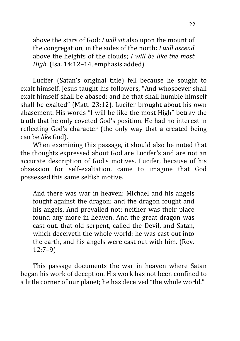above the stars of God: *I will sit* also upon the mount of the congregation, in the sides of the north**:** *I will ascend* above the heights of the clouds; *I will be like the most High.* (Isa. 14:12–14, emphasis added)

Lucifer (Satan's original title) fell because he sought to exalt himself. Jesus taught his followers, "And whosoever shall exalt himself shall be abased; and he that shall humble himself shall be exalted" (Matt. 23:12). Lucifer brought about his own abasement. His words "I will be like the most High" betray the truth that he only coveted God's position. He had no interest in reflecting God's character (the only way that a created being can be *like* God).

When examining this passage, it should also be noted that the thoughts expressed about God are Lucifer's and are not an accurate description of God's motives. Lucifer, because of his obsession for self-exaltation, came to imagine that God possessed this same selfish motive.

And there was war in heaven: Michael and his angels fought against the dragon; and the dragon fought and his angels, And prevailed not; neither was their place found any more in heaven. And the great dragon was cast out, that old serpent, called the Devil, and Satan, which deceiveth the whole world: he was cast out into the earth, and his angels were cast out with him. (Rev. 12:7–9)

This passage documents the war in heaven where Satan began his work of deception. His work has not been confined to a little corner of our planet; he has deceived "the whole world."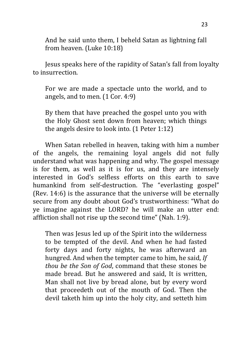And he said unto them, I beheld Satan as lightning fall from heaven. (Luke 10:18)

Jesus speaks here of the rapidity of Satan's fall from loyalty to insurrection.

For we are made a spectacle unto the world, and to angels, and to men. (1 Cor. 4:9)

By them that have preached the gospel unto you with the Holy Ghost sent down from heaven; which things the angels desire to look into*.* (1 Peter 1:12)

When Satan rebelled in heaven, taking with him a number of the angels, the remaining loyal angels did not fully understand what was happening and why. The gospel message is for them, as well as it is for us, and they are intensely interested in God's selfless efforts on this earth to save humankind from self-destruction. The "everlasting gospel" (Rev. 14:6) is the assurance that the universe will be eternally secure from any doubt about God's trustworthiness: "What do ye imagine against the LORD? he will make an utter end: affliction shall not rise up the second time" (Nah. 1:9).

Then was Jesus led up of the Spirit into the wilderness to be tempted of the devil. And when he had fasted forty days and forty nights, he was afterward an hungred. And when the tempter came to him, he said, *If thou be the Son of God*, command that these stones be made bread. But he answered and said, It is written, Man shall not live by bread alone, but by every word that proceedeth out of the mouth of God. Then the devil taketh him up into the holy city, and setteth him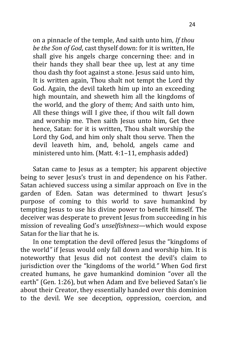on a pinnacle of the temple, And saith unto him, *If thou be the Son of God*, cast thyself down: for it is written, He shall give his angels charge concerning thee: and in their hands they shall bear thee up, lest at any time thou dash thy foot against a stone. Jesus said unto him, It is written again, Thou shalt not tempt the Lord thy God. Again, the devil taketh him up into an exceeding high mountain, and sheweth him all the kingdoms of the world, and the glory of them; And saith unto him, All these things will I give thee, if thou wilt fall down and worship me*.* Then saith Jesus unto him, Get thee hence, Satan: for it is written, Thou shalt worship the Lord thy God, and him only shalt thou serve. Then the devil leaveth him, and, behold, angels came and ministered unto him. (Matt. 4:1–11, emphasis added)

Satan came to Jesus as a tempter; his apparent objective being to sever Jesus's trust in and dependence on his Father. Satan achieved success using a similar approach on Eve in the garden of Eden. Satan was determined to thwart Jesus's purpose of coming to this world to save humankind by tempting Jesus to use his divine power to benefit himself. The deceiver was desperate to prevent Jesus from succeeding in his mission of revealing God's *unselfishness*—which would expose Satan for the liar that he is.

In one temptation the devil offered Jesus the "kingdoms of the world*"* if Jesus would only fall down and worship him. It is noteworthy that Jesus did not contest the devil's claim to jurisdiction over the "kingdoms of the world*."* When God first created humans, he gave humankind dominion "over all the earth" (Gen. 1:26), but when Adam and Eve believed Satan's lie about their Creator, they essentially handed over this dominion to the devil. We see deception, oppression, coercion, and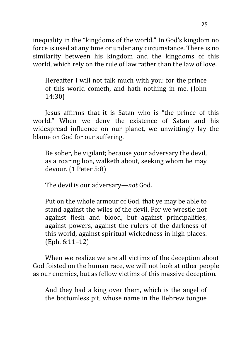inequality in the "kingdoms of the world." In God's kingdom no force is used at any time or under any circumstance. There is no similarity between his kingdom and the kingdoms of this world, which rely on the rule of law rather than the law of love.

Hereafter I will not talk much with you: for the prince of this world cometh, and hath nothing in me. (John 14:30)

Jesus affirms that it is Satan who is "the prince of this world." When we deny the existence of Satan and his widespread influence on our planet, we unwittingly lay the blame on God for our suffering.

Be sober, be vigilant; because your adversary the devil, as a roaring lion, walketh about, seeking whom he may devour. (1 Peter 5:8)

The devil is our adversary—*not* God.

Put on the whole armour of God, that ye may be able to stand against the wiles of the devil. For we wrestle not against flesh and blood, but against principalities, against powers, against the rulers of the darkness of this world, against spiritual wickedness in high places. (Eph. 6:11–12)

When we realize we are all victims of the deception about God foisted on the human race, we will not look at other people as our enemies, but as fellow victims of this massive deception.

And they had a king over them, which is the angel of the bottomless pit, whose name in the Hebrew tongue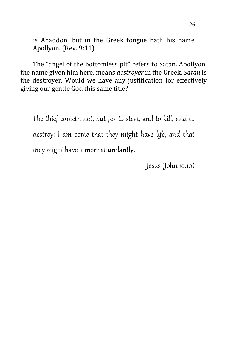is Abaddon, but in the Greek tongue hath his name Apollyon. (Rev. 9:11)

The "angel of the bottomless pit" refers to Satan. Apollyon, the name given him here, means *destroyer* in the Greek. *Satan* is the destroyer. Would we have any justification for effectively giving our gentle God this same title?

The thief cometh not, but for to steal, and to kill, and to destroy: I am come that they might have life, and that they might have it more abundantly.

—Jesus (John 10:10)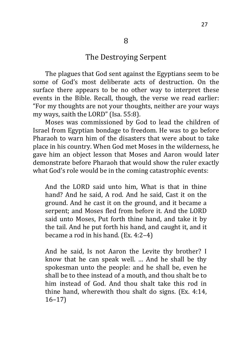#### The Destroying Serpent

The plagues that God sent against the Egyptians seem to be some of God's most deliberate acts of destruction. On the surface there appears to be no other way to interpret these events in the Bible. Recall, though, the verse we read earlier: "For my thoughts are not your thoughts, neither are your ways my ways, saith the LORD" (Isa. 55:8).

Moses was commissioned by God to lead the children of Israel from Egyptian bondage to freedom. He was to go before Pharaoh to warn him of the disasters that were about to take place in his country. When God met Moses in the wilderness, he gave him an object lesson that Moses and Aaron would later demonstrate before Pharaoh that would show the ruler exactly what God's role would be in the coming catastrophic events:

And the LORD said unto him, What is that in thine hand? And he said, A rod. And he said, Cast it on the ground. And he cast it on the ground, and it became a serpent; and Moses fled from before it. And the LORD said unto Moses, Put forth thine hand, and take it by the tail. And he put forth his hand, and caught it, and it became a rod in his hand. (Ex. 4:2–4)

And he said, Is not Aaron the Levite thy brother? I know that he can speak well. … And he shall be thy spokesman unto the people: and he shall be, even he shall be to thee instead of a mouth, and thou shalt be to him instead of God. And thou shalt take this rod in thine hand, wherewith thou shalt do signs. (Ex. 4:14, 16–17)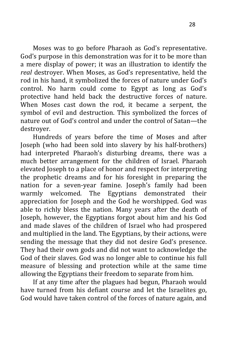Moses was to go before Pharaoh as God's representative. God's purpose in this demonstration was for it to be more than a mere display of power; it was an illustration to identify the *real* destroyer. When Moses, as God's representative, held the rod in his hand, it symbolized the forces of nature under God's control. No harm could come to Egypt as long as God's protective hand held back the destructive forces of nature. When Moses cast down the rod, it became a serpent, the symbol of evil and destruction. This symbolized the forces of nature out of God's control and under the control of Satan—the destroyer.

Hundreds of years before the time of Moses and after Joseph (who had been sold into slavery by his half-brothers) had interpreted Pharaoh's disturbing dreams, there was a much better arrangement for the children of Israel. Pharaoh elevated Joseph to a place of honor and respect for interpreting the prophetic dreams and for his foresight in preparing the nation for a seven-year famine. Joseph's family had been warmly welcomed. The Egyptians demonstrated their appreciation for Joseph and the God he worshipped. God was able to richly bless the nation. Many years after the death of Joseph, however, the Egyptians forgot about him and his God and made slaves of the children of Israel who had prospered and multiplied in the land. The Egyptians, by their actions, were sending the message that they did not desire God's presence. They had their own gods and did not want to acknowledge the God of their slaves. God was no longer able to continue his full measure of blessing and protection while at the same time allowing the Egyptians their freedom to separate from him.

If at any time after the plagues had begun, Pharaoh would have turned from his defiant course and let the Israelites go, God would have taken control of the forces of nature again, and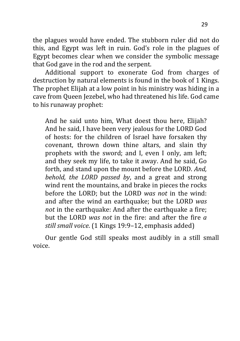the plagues would have ended. The stubborn ruler did not do this, and Egypt was left in ruin. God's role in the plagues of Egypt becomes clear when we consider the symbolic message that God gave in the rod and the serpent.

Additional support to exonerate God from charges of destruction by natural elements is found in the book of 1 Kings. The prophet Elijah at a low point in his ministry was hiding in a cave from Queen Jezebel, who had threatened his life. God came to his runaway prophet:

And he said unto him, What doest thou here, Elijah? And he said, I have been very jealous for the LORD God of hosts: for the children of Israel have forsaken thy covenant, thrown down thine altars, and slain thy prophets with the sword; and I, even I only, am left; and they seek my life, to take it away. And he said, Go forth, and stand upon the mount before the LORD. *And, behold, the LORD passed by*, and a great and strong wind rent the mountains, and brake in pieces the rocks before the LORD; but the LORD *was not* in the wind: and after the wind an earthquake; but the LORD *was not* in the earthquake: And after the earthquake a fire; but the LORD *was not* in the fire: and after the fire *a still small voice*. (1 Kings 19:9–12, emphasis added)

Our gentle God still speaks most audibly in a still small voice.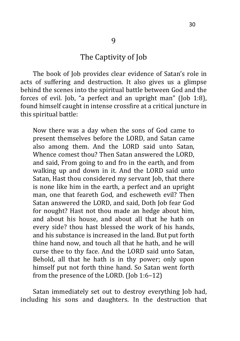#### The Captivity of Job

The book of Job provides clear evidence of Satan's role in acts of suffering and destruction. It also gives us a glimpse behind the scenes into the spiritual battle between God and the forces of evil. Job, "a perfect and an upright man" (Job 1:8), found himself caught in intense crossfire at a critical juncture in this spiritual battle:

Now there was a day when the sons of God came to present themselves before the LORD, and Satan came also among them. And the LORD said unto Satan, Whence comest thou? Then Satan answered the LORD, and said, From going to and fro in the earth, and from walking up and down in it. And the LORD said unto Satan, Hast thou considered my servant Job, that there is none like him in the earth, a perfect and an upright man, one that feareth God, and escheweth evil? Then Satan answered the LORD, and said, Doth Job fear God for nought? Hast not thou made an hedge about him, and about his house, and about all that he hath on every side? thou hast blessed the work of his hands, and his substance is increased in the land. But put forth thine hand now, and touch all that he hath, and he will curse thee to thy face. And the LORD said unto Satan, Behold, all that he hath is in thy power; only upon himself put not forth thine hand. So Satan went forth from the presence of the LORD. (Job 1:6–12)

Satan immediately set out to destroy everything Job had, including his sons and daughters. In the destruction that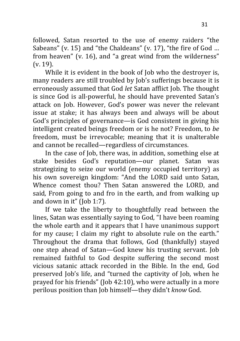followed, Satan resorted to the use of enemy raiders "the Sabeans" (v. 15) and "the Chaldeans" (v. 17), "the fire of God … from heaven" (v. 16), and "a great wind from the wilderness" (v. 19).

While it is evident in the book of Job who the destroyer is, many readers are still troubled by Job's sufferings because it is erroneously assumed that God *let* Satan afflict Job. The thought is since God is all-powerful, he should have prevented Satan's attack on Job. However, God's power was never the relevant issue at stake; it has always been and always will be about God's principles of governance—is God consistent in giving his intelligent created beings freedom or is he not? Freedom, to *be* freedom, must be irrevocable; meaning that it is unalterable and cannot be recalled—regardless of circumstances.

In the case of Job, there was, in addition, something else at stake besides God's reputation—our planet. Satan was strategizing to seize our world (enemy occupied territory) as his own sovereign kingdom: "And the LORD said unto Satan, Whence comest thou? Then Satan answered the LORD, and said*,* From going to and fro in the earth, and from walking up and down in it" (Job 1:7).

If we take the liberty to thoughtfully read between the lines, Satan was essentially saying to God*,* "I have been roaming the whole earth and it appears that I have unanimous support for my cause; I claim my right to absolute rule on the earth." Throughout the drama that follows, God (thankfully) stayed one step ahead of Satan—God knew his trusting servant. Job remained faithful to God despite suffering the second most vicious satanic attack recorded in the Bible. In the end, God preserved Job's life, and "turned the captivity of Job, when he prayed for his friends" (Job 42:10), who were actually in a more perilous position than Job himself—they didn't *know* God.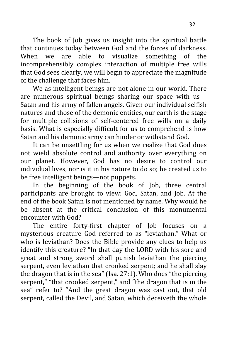The book of Job gives us insight into the spiritual battle that continues today between God and the forces of darkness. When we are able to visualize something of the incomprehensibly complex interaction of multiple free wills that God sees clearly, we will begin to appreciate the magnitude of the challenge that faces him.

We as intelligent beings are not alone in our world. There are numerous spiritual beings sharing our space with us— Satan and his army of fallen angels. Given our individual selfish natures and those of the demonic entities, our earth is the stage for multiple collisions of self-centered free wills on a daily basis. What is especially difficult for us to comprehend is how Satan and his demonic army can hinder or withstand God.

It can be unsettling for us when we realize that God does not wield absolute control and authority over everything on our planet. However, God has no desire to control our individual lives, nor is it in his nature to do so; he created us to be free intelligent beings—not puppets.

In the beginning of the book of Job, three central participants are brought to view: God, Satan, and Job. At the end of the book Satan is not mentioned by name. Why would he be absent at the critical conclusion of this monumental encounter with God?

The entire forty-first chapter of Job focuses on a mysterious creature God referred to as "leviathan." What or who is leviathan? Does the Bible provide any clues to help us identify this creature? "In that day the LORD with his sore and great and strong sword shall punish leviathan the piercing serpent, even leviathan that crooked serpent; and he shall slay the dragon that is in the sea" (Isa. 27:1). Who does "the piercing serpent," "that crooked serpent," and "the dragon that is in the sea" refer to? "And the great dragon was cast out, that old serpent, called the Devil, and Satan, which deceiveth the whole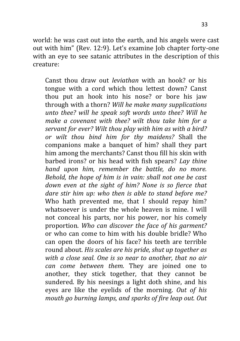world: he was cast out into the earth, and his angels were cast out with him" (Rev. 12:9). Let's examine Job chapter forty-one with an eve to see satanic attributes in the description of this creature:

Canst thou draw out *leviathan* with an hook? or his tongue with a cord which thou lettest down? Canst thou put an hook into his nose? or bore his jaw through with a thorn? *Will he make many supplications unto thee? will he speak soft words unto thee? Will he make a covenant with thee? wilt thou take him for a servant for ever? Wilt thou play with him as with a bird? or wilt thou bind him for thy maidens?* Shall the companions make a banquet of him? shall they part him among the merchants? Canst thou fill his skin with barbed irons? or his head with fish spears? *Lay thine hand upon him, remember the battle, do no more. Behold, the hope of him is in vain: shall not one be cast down even at the sight of him? None is so fierce that dare stir him up: who then is able to stand before me?* Who hath prevented me, that I should repay him? whatsoever is under the whole heaven is mine. I will not conceal his parts, nor his power, nor his comely proportion. *Who can discover the face of his garment?* or who can come to him with his double bridle? Who can open the doors of his face? his teeth are terrible round about. *His scales are his pride, shut up together as with a close seal. One is so near to another, that no air can come between them.* They are joined one to another, they stick together, that they cannot be sundered. By his neesings a light doth shine, and his eyes are like the eyelids of the morning. *Out of his mouth go burning lamps, and sparks of fire leap out. Out*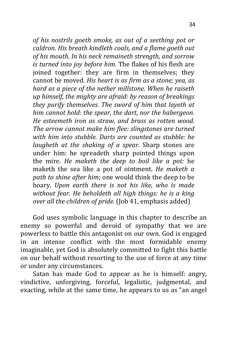*of his nostrils goeth smoke, as out of a seething pot or caldron. His breath kindleth coals, and a flame goeth out of his mouth. In his neck remaineth strength, and sorrow is turned into joy before him.* The flakes of his flesh are joined together: they are firm in themselves; they cannot be moved. *His heart is as firm as a stone; yea, as hard as a piece of the nether millstone. When he raiseth up himself, the mighty are afraid: by reason of breakings they purify themselves. The sword of him that layeth at him cannot hold: the spear, the dart, nor the habergeon. He esteemeth iron as straw, and brass as rotten wood. The arrow cannot make him flee: slingstones are turned with him into stubble. Darts are counted as stubble: he laugheth at the shaking of a spear.* Sharp stones are under him: he spreadeth sharp pointed things upon the mire. *He maketh the deep to boil like a pot:* he maketh the sea like a pot of ointment. *He maketh a path to shine after him*; one would think the deep to be hoary. *Upon earth there is not his like, who is made without fear. He beholdeth all high things: he is a king over all the children of pride.* (Job 41, emphasis added)

God uses symbolic language in this chapter to describe an enemy so powerful and devoid of sympathy that we are powerless to battle this antagonist on our own. God is engaged in an intense conflict with the most formidable enemy imaginable, yet God is absolutely committed to fight this battle on our behalf without resorting to the use of force at any time or under any circumstances.

Satan has made God to appear as he is himself: angry, vindictive, unforgiving, forceful, legalistic, judgmental, and exacting, while at the same time, he appears to us as "an angel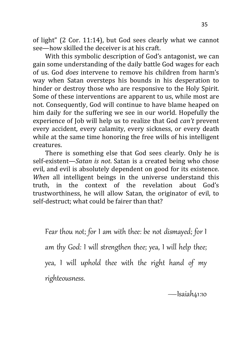of light" (2 Cor. 11:14), but God sees clearly what we cannot see—how skilled the deceiver is at his craft.

With this symbolic description of God's antagonist, we can gain some understanding of the daily battle God wages for each of us. God *does* intervene to remove his children from harm's way when Satan oversteps his bounds in his desperation to hinder or destroy those who are responsive to the Holy Spirit. Some of these interventions are apparent to us, while most are not. Consequently, God will continue to have blame heaped on him daily for the suffering we see in our world. Hopefully the experience of Job will help us to realize that God *can't* prevent every accident, every calamity, every sickness, or every death while at the same time honoring the free wills of his intelligent creatures.

There is something else that God sees clearly. Only he is self-existent—*Satan is not*. Satan is a created being who chose evil, and evil is absolutely dependent on good for its existence. *When* all intelligent beings in the universe understand this truth, in the context of the revelation about God's trustworthiness, he will allow Satan, the originator of evil, to self-destruct; what could be fairer than that?

Fear thou not; for I am with thee: be not dismayed; for I am thy God: I will strengthen thee; yea, I will help thee; yea, I will uphold thee with the right hand of my righteousness.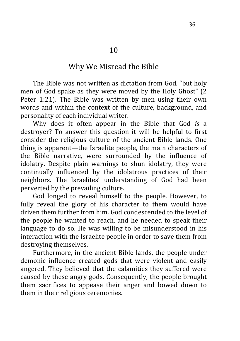#### Why We Misread the Bible

The Bible was not written as dictation from God, "but holy men of God spake as they were moved by the Holy Ghost" (2 Peter 1:21). The Bible was written by men using their own words and within the context of the culture, background, and personality of each individual writer.

Why does it often appear in the Bible that God *is* a destroyer? To answer this question it will be helpful to first consider the religious culture of the ancient Bible lands. One thing is apparent—the Israelite people, the main characters of the Bible narrative, were surrounded by the influence of idolatry. Despite plain warnings to shun idolatry, they were continually influenced by the idolatrous practices of their neighbors. The Israelites' understanding of God had been perverted by the prevailing culture.

God longed to reveal himself to the people. However, to fully reveal the glory of his character to them would have driven them further from him. God condescended to the level of the people he wanted to reach, and he needed to speak their language to do so. He was willing to be misunderstood in his interaction with the Israelite people in order to save them from destroying themselves.

Furthermore, in the ancient Bible lands, the people under demonic influence created gods that were violent and easily angered. They believed that the calamities they suffered were caused by these angry gods. Consequently, the people brought them sacrifices to appease their anger and bowed down to them in their religious ceremonies.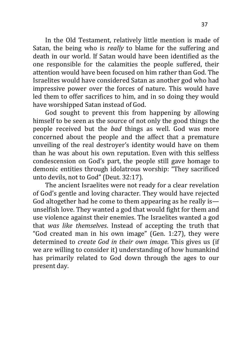In the Old Testament, relatively little mention is made of Satan, the being who is *really* to blame for the suffering and death in our world. If Satan would have been identified as the one responsible for the calamities the people suffered, their attention would have been focused on him rather than God. The Israelites would have considered Satan as another god who had impressive power over the forces of nature. This would have led them to offer sacrifices to him, and in so doing they would have worshipped Satan instead of God.

God sought to prevent this from happening by allowing himself to be seen as the source of not only the good things the people received but the *bad* things as well. God was more concerned about the people and the affect that a premature unveiling of the real destroyer's identity would have on them than he was about his own reputation. Even with this selfless condescension on God's part, the people still gave homage to demonic entities through idolatrous worship: "They sacrificed unto devils, not to God" (Deut. 32:17).

The ancient Israelites were not ready for a clear revelation of God's gentle and loving character. They would have rejected God altogether had he come to them appearing as he really is unselfish love. They wanted a god that would fight for them and use violence against their enemies. The Israelites wanted a god that *was like themselves*. Instead of accepting the truth that "God created man in his own image" (Gen. 1:27), they were determined to *create God in their own image*. This gives us (if we are willing to consider it) understanding of how humankind has primarily related to God down through the ages to our present day.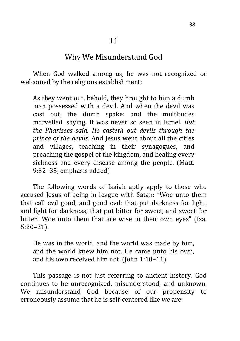# Why We Misunderstand God

When God walked among us, he was not recognized or welcomed by the religious establishment:

As they went out, behold, they brought to him a dumb man possessed with a devil. And when the devil was cast out, the dumb spake: and the multitudes marvelled, saying, It was never so seen in Israel. *But the Pharisees said, He casteth out devils through the prince of the devils*. And Jesus went about all the cities and villages, teaching in their synagogues, and preaching the gospel of the kingdom, and healing every sickness and every disease among the people. (Matt. 9:32–35, emphasis added)

The following words of Isaiah aptly apply to those who accused Jesus of being in league with Satan: "Woe unto them that call evil good, and good evil; that put darkness for light, and light for darkness; that put bitter for sweet, and sweet for bitter! Woe unto them that are wise in their own eyes" (Isa. 5:20–21).

He was in the world, and the world was made by him, and the world knew him not. He came unto his own, and his own received him not. (John 1:10–11)

This passage is not just referring to ancient history. God continues to be unrecognized, misunderstood, and unknown. We misunderstand God because of our propensity to erroneously assume that he is self-centered like we are: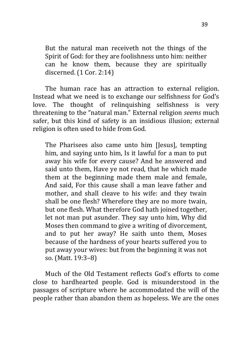But the natural man receiveth not the things of the Spirit of God: for they are foolishness unto him: neither can he know them, because they are spiritually discerned. (1 Cor. 2:14)

The human race has an attraction to external religion. Instead what we need is to exchange our selfishness for God's love. The thought of relinquishing selfishness is very threatening to the "natural man." External religion *seems* much safer, but this kind of safety is an insidious illusion; external religion is often used to hide from God.

The Pharisees also came unto him [Jesus], tempting him, and saying unto him, Is it lawful for a man to put away his wife for every cause? And he answered and said unto them, Have ye not read, that he which made them at the beginning made them male and female, And said, For this cause shall a man leave father and mother, and shall cleave to his wife: and they twain shall be one flesh? Wherefore they are no more twain, but one flesh. What therefore God hath joined together, let not man put asunder. They say unto him, Why did Moses then command to give a writing of divorcement, and to put her away? He saith unto them, Moses because of the hardness of your hearts suffered you to put away your wives: but from the beginning it was not so. (Matt. 19:3–8)

Much of the Old Testament reflects God's efforts to come close to hardhearted people. God is misunderstood in the passages of scripture where he accommodated the will of the people rather than abandon them as hopeless. We are the ones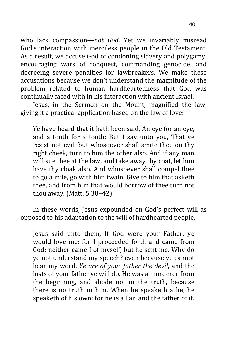who lack compassion—*not God*. Yet we invariably misread God's interaction with merciless people in the Old Testament. As a result, we accuse God of condoning slavery and polygamy, encouraging wars of conquest, commanding genocide, and decreeing severe penalties for lawbreakers. We make these accusations because we don't understand the magnitude of the problem related to human hardheartedness that God was continually faced with in his interaction with ancient Israel.

Jesus, in the Sermon on the Mount, magnified the law, giving it a practical application based on the law of love:

Ye have heard that it hath been said, An eye for an eye, and a tooth for a tooth: But I say unto you, That ye resist not evil: but whosoever shall smite thee on thy right cheek, turn to him the other also. And if any man will sue thee at the law, and take away thy coat, let him have thy cloak also. And whosoever shall compel thee to go a mile, go with him twain. Give to him that asketh thee, and from him that would borrow of thee turn not thou away. (Matt. 5:38–42)

In these words, Jesus expounded on God's perfect will as opposed to his adaptation to the will of hardhearted people.

Jesus said unto them, If God were your Father, ye would love me: for I proceeded forth and came from God; neither came I of myself, but he sent me. Why do ye not understand my speech? even because ye cannot hear my word. *Ye are of your father the devil*, and the lusts of your father ye will do. He was a murderer from the beginning, and abode not in the truth, because there is no truth in him. When he speaketh a lie, he speaketh of his own: for he is a liar, and the father of it.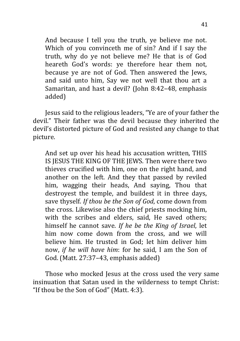And because I tell you the truth, ye believe me not. Which of you convinceth me of sin? And if I say the truth, why do ye not believe me? He that is of God heareth God's words: ye therefore hear them not, because ye are not of God. Then answered the Jews, and said unto him, Say we not well that thou art a Samaritan, and hast a devil? (John 8:42–48, emphasis added)

Jesus said to the religious leaders, "Ye are of your father the devil." Their father was the devil because they inherited the devil's distorted picture of God and resisted any change to that picture.

And set up over his head his accusation written, THIS IS JESUS THE KING OF THE JEWS. Then were there two thieves crucified with him, one on the right hand, and another on the left. And they that passed by reviled him, wagging their heads, And saying, Thou that destroyest the temple, and buildest it in three days, save thyself. *If thou be the Son of God*, come down from the cross. Likewise also the chief priests mocking him, with the scribes and elders, said, He saved others; himself he cannot save. *If he be the King of Israel*, let him now come down from the cross, and we will believe him. He trusted in God; let him deliver him now, *if he will have him*: for he said, I am the Son of God. (Matt. 27:37–43, emphasis added)

Those who mocked Jesus at the cross used the very same insinuation that Satan used in the wilderness to tempt Christ: "If thou be the Son of God" (Matt. 4:3).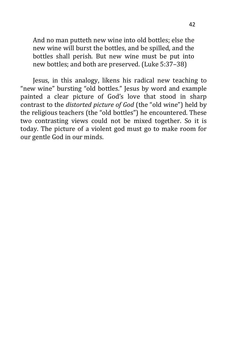And no man putteth new wine into old bottles; else the new wine will burst the bottles, and be spilled, and the bottles shall perish. But new wine must be put into new bottles; and both are preserved. (Luke 5:37–38)

Jesus, in this analogy, likens his radical new teaching to "new wine" bursting "old bottles." Jesus by word and example painted a clear picture of God's love that stood in sharp contrast to the *distorted picture of God* (the "old wine") held by the religious teachers (the "old bottles") he encountered. These two contrasting views could not be mixed together. So it is today. The picture of a violent god must go to make room for our gentle God in our minds.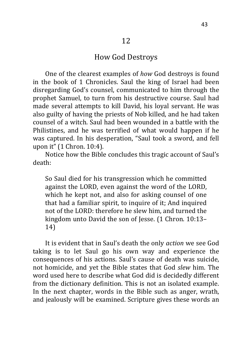# How God Destroys

One of the clearest examples of *how* God destroys is found in the book of 1 Chronicles. Saul the king of Israel had been disregarding God's counsel, communicated to him through the prophet Samuel, to turn from his destructive course. Saul had made several attempts to kill David, his loyal servant. He was also guilty of having the priests of Nob killed, and he had taken counsel of a witch. Saul had been wounded in a battle with the Philistines, and he was terrified of what would happen if he was captured. In his desperation, "Saul took a sword, and fell upon it" (1 Chron. 10:4).

Notice how the Bible concludes this tragic account of Saul's death:

So Saul died for his transgression which he committed against the LORD, even against the word of the LORD, which he kept not, and also for asking counsel of one that had a familiar spirit, to inquire of it; And inquired not of the LORD: therefore he slew him, and turned the kingdom unto David the son of Jesse. (1 Chron. 10:13– 14)

It is evident that in Saul's death the only *action* we see God taking is to let Saul go his own way and experience the consequences of his actions. Saul's cause of death was suicide, not homicide, and yet the Bible states that God *slew* him. The word used here to describe what God did is decidedly different from the dictionary definition. This is not an isolated example. In the next chapter, words in the Bible such as anger, wrath, and jealously will be examined. Scripture gives these words an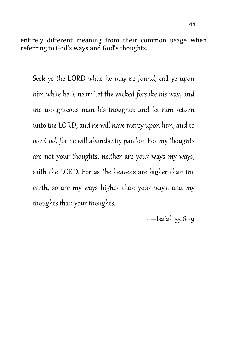entirely different meaning from their common usage when referring to God's ways and God's thoughts.

Seek ye the LORD while he may be found, call ye upon him while he is near: Let the wicked forsake his way, and the unrighteous man his thoughts: and let him return unto the LORD, and he will have mercy upon him; and to our God, for he will abundantly pardon. For my thoughts are not your thoughts, neither are your ways my ways, saith the LORD. For as the heavens are higher than the earth, so are my ways higher than your ways, and my thoughts than your thoughts.

 $-$ Isaiah 55:6 $-$ 9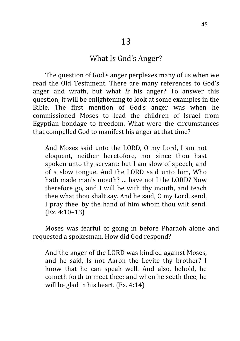#### What Is God's Anger?

The question of God's anger perplexes many of us when we read the Old Testament. There are many references to God's anger and wrath, but what *is* his anger? To answer this question, it will be enlightening to look at some examples in the Bible. The first mention of God's anger was when he commissioned Moses to lead the children of Israel from Egyptian bondage to freedom. What were the circumstances that compelled God to manifest his anger at that time?

And Moses said unto the LORD, O my Lord, I am not eloquent, neither heretofore, nor since thou hast spoken unto thy servant: but I am slow of speech, and of a slow tongue. And the LORD said unto him, Who hath made man's mouth? … have not I the LORD? Now therefore go, and I will be with thy mouth, and teach thee what thou shalt say. And he said, O my Lord, send, I pray thee, by the hand of him whom thou wilt send. (Ex. 4:10–13)

Moses was fearful of going in before Pharaoh alone and requested a spokesman. How did God respond?

And the anger of the LORD was kindled against Moses, and he said, Is not Aaron the Levite thy brother? I know that he can speak well. And also, behold, he cometh forth to meet thee: and when he seeth thee, he will be glad in his heart. (Ex. 4:14)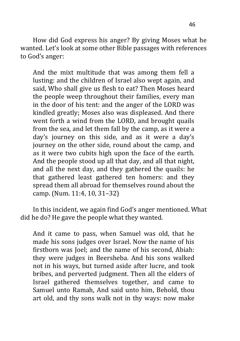How did God express his anger? By giving Moses what he wanted. Let's look at some other Bible passages with references to God's anger:

And the mixt multitude that was among them fell a lusting: and the children of Israel also wept again, and said, Who shall give us flesh to eat? Then Moses heard the people weep throughout their families, every man in the door of his tent: and the anger of the LORD was kindled greatly; Moses also was displeased. And there went forth a wind from the LORD, and brought quails from the sea, and let them fall by the camp, as it were a day's journey on this side, and as it were a day's journey on the other side, round about the camp, and as it were two cubits high upon the face of the earth. And the people stood up all that day, and all that night, and all the next day, and they gathered the quails: he that gathered least gathered ten homers: and they spread them all abroad for themselves round about the camp. (Num. 11:4, 10, 31–32)

In this incident, we again find God's anger mentioned. What did he do? He gave the people what they wanted.

And it came to pass, when Samuel was old, that he made his sons judges over Israel. Now the name of his firstborn was Joel; and the name of his second, Abiah: they were judges in Beersheba. And his sons walked not in his ways, but turned aside after lucre, and took bribes, and perverted judgment. Then all the elders of Israel gathered themselves together, and came to Samuel unto Ramah, And said unto him, Behold, thou art old, and thy sons walk not in thy ways: now make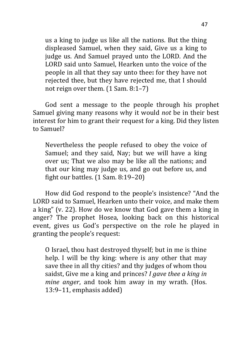us a king to judge us like all the nations. But the thing displeased Samuel, when they said, Give us a king to judge us. And Samuel prayed unto the LORD. And the LORD said unto Samuel, Hearken unto the voice of the people in all that they say unto thee**:** for they have not rejected thee, but they have rejected me, that I should not reign over them. (1 Sam. 8:1–7)

God sent a message to the people through his prophet Samuel giving many reasons why it would *not* be in their best interest for him to grant their request for a king. Did they listen to Samuel?

Nevertheless the people refused to obey the voice of Samuel; and they said, Nay; but we will have a king over us; That we also may be like all the nations; and that our king may judge us, and go out before us, and fight our battles. (1 Sam. 8:19–20)

How did God respond to the people's insistence? "And the LORD said to Samuel, Hearken unto their voice, and make them a king" (v. 22). How do we know that God gave them a king in anger? The prophet Hosea, looking back on this historical event, gives us God's perspective on the role he played in granting the people's request:

O Israel, thou hast destroyed thyself; but in me is thine help. I will be thy king: where is any other that may save thee in all thy cities? and thy judges of whom thou saidst, Give me a king and princes? *I gave thee a king in mine anger*, and took him away in my wrath. (Hos. 13:9–11, emphasis added)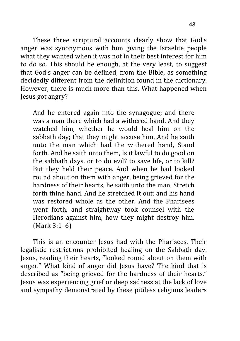These three scriptural accounts clearly show that God's anger was synonymous with him giving the Israelite people what they wanted when it was not in their best interest for him to do so. This should be enough, at the very least, to suggest that God's anger can be defined, from the Bible, as something decidedly different from the definition found in the dictionary. However, there is much more than this. What happened when Jesus got angry?

And he entered again into the synagogue; and there was a man there which had a withered hand. And they watched him, whether he would heal him on the sabbath day; that they might accuse him. And he saith unto the man which had the withered hand, Stand forth. And he saith unto them, Is it lawful to do good on the sabbath days, or to do evil? to save life, or to kill? But they held their peace. And when he had looked round about on them with anger, being grieved for the hardness of their hearts, he saith unto the man, Stretch forth thine hand. And he stretched it out: and his hand was restored whole as the other. And the Pharisees went forth, and straightway took counsel with the Herodians against him, how they might destroy him. (Mark 3:1–6)

This is an encounter Jesus had with the Pharisees. Their legalistic restrictions prohibited healing on the Sabbath day. Jesus, reading their hearts, "looked round about on them with anger." What kind of anger did Jesus have? The kind that is described as "being grieved for the hardness of their hearts." Jesus was experiencing grief or deep sadness at the lack of love and sympathy demonstrated by these pitiless religious leaders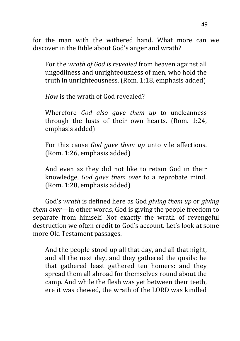for the man with the withered hand. What more can we discover in the Bible about God's anger and wrath?

For the *wrath of God is revealed* from heaven against all ungodliness and unrighteousness of men, who hold the truth in unrighteousness. (Rom. 1:18, emphasis added)

*How* is the wrath of God revealed?

Wherefore *God also gave them up* to uncleanness through the lusts of their own hearts. (Rom. 1:24, emphasis added)

For this cause *God gave them up* unto vile affections. (Rom. 1:26, emphasis added)

And even as they did not like to retain God in their knowledge, *God gave them over* to a reprobate mind. (Rom. 1:28, emphasis added)

God's *wrath* is defined here as God *giving them up* or *giving them over*—in other words, God is giving the people freedom to separate from himself. Not exactly the wrath of revengeful destruction we often credit to God's account. Let's look at some more Old Testament passages.

And the people stood up all that day, and all that night, and all the next day, and they gathered the quails: he that gathered least gathered ten homers: and they spread them all abroad for themselves round about the camp. And while the flesh was yet between their teeth, ere it was chewed, the wrath of the LORD was kindled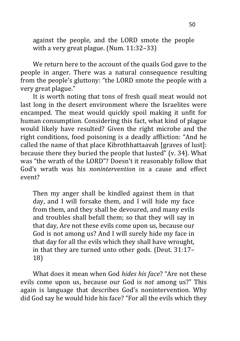against the people, and the LORD smote the people with a very great plague. (Num. 11:32–33)

We return here to the account of the quails God gave to the people in anger. There was a natural consequence resulting from the people's gluttony: "the LORD smote the people with a very great plague."

It is worth noting that tons of fresh quail meat would not last long in the desert environment where the Israelites were encamped. The meat would quickly spoil making it unfit for human consumption. Considering this fact, what kind of plague would likely have resulted? Given the right microbe and the right conditions, food poisoning is a deadly affliction: "And he called the name of that place Kibrothhattaavah [graves of lust]: because there they buried the people that lusted" (v. 34). What was "the wrath of the LORD"? Doesn't it reasonably follow that God's wrath was his *nonintervention* in a cause and effect event?

Then my anger shall be kindled against them in that day, and I will forsake them, and I will hide my face from them, and they shall be devoured, and many evils and troubles shall befall them; so that they will say in that day, Are not these evils come upon us, because our God is not among us? And I will surely hide my face in that day for all the evils which they shall have wrought, in that they are turned unto other gods. (Deut. 31:17– 18)

What does it mean when God *hides his face*? "Are not these evils come upon us, because our God is *not* among us?" This again is language that describes God's nonintervention. Why did God say he would hide his face? "For all the evils which they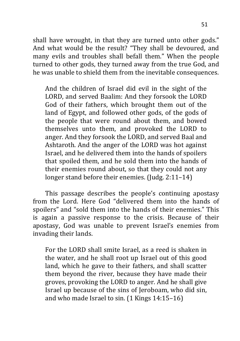shall have wrought, in that they are turned unto other gods." And what would be the result? "They shall be devoured, and many evils and troubles shall befall them." When the people turned to other gods, they turned away from the true God, and he was unable to shield them from the inevitable consequences.

And the children of Israel did evil in the sight of the LORD, and served Baalim: And they forsook the LORD God of their fathers, which brought them out of the land of Egypt, and followed other gods, of the gods of the people that were round about them, and bowed themselves unto them, and provoked the LORD to anger. And they forsook the LORD, and served Baal and Ashtaroth. And the anger of the LORD was hot against Israel, and he delivered them into the hands of spoilers that spoiled them, and he sold them into the hands of their enemies round about, so that they could not any longer stand before their enemies. (Judg. 2:11–14)

This passage describes the people's continuing apostasy from the Lord. Here God "delivered them into the hands of spoilers" and "sold them into the hands of their enemies." This is again a passive response to the crisis. Because of their apostasy, God was unable to prevent Israel's enemies from invading their lands.

For the LORD shall smite Israel, as a reed is shaken in the water, and he shall root up Israel out of this good land, which he gave to their fathers, and shall scatter them beyond the river, because they have made their groves, provoking the LORD to anger. And he shall give Israel up because of the sins of Jeroboam, who did sin, and who made Israel to sin. (1 Kings 14:15–16)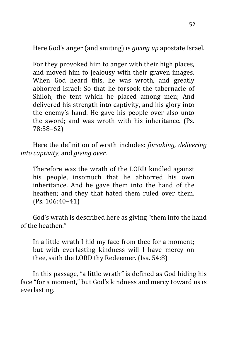Here God's anger (and smiting) is *giving up* apostate Israel.

For they provoked him to anger with their high places, and moved him to jealousy with their graven images. When God heard this, he was wroth, and greatly abhorred Israel: So that he forsook the tabernacle of Shiloh, the tent which he placed among men; And delivered his strength into captivity, and his glory into the enemy's hand. He gave his people over also unto the sword; and was wroth with his inheritance. (Ps. 78:58–62)

Here the definition of wrath includes: *forsaking, delivering into captivity*, and *giving over*.

Therefore was the wrath of the LORD kindled against his people, insomuch that he abhorred his own inheritance. And he gave them into the hand of the heathen; and they that hated them ruled over them. (Ps. 106:40–41)

God's wrath is described here as giving "them into the hand of the heathen."

In a little wrath I hid my face from thee for a moment; but with everlasting kindness will I have mercy on thee, saith the LORD thy Redeemer. (Isa. 54:8)

In this passage, "a little wrath*"* is defined as God hiding his face "for a moment," but God's kindness and mercy toward us is everlasting.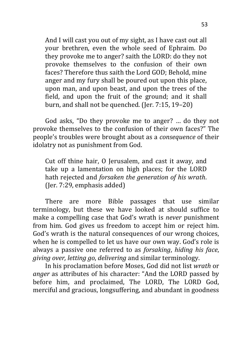And I will cast you out of my sight, as I have cast out all your brethren, even the whole seed of Ephraim. Do they provoke me to anger? saith the LORD: do they not provoke themselves to the confusion of their own faces? Therefore thus saith the Lord GOD; Behold, mine anger and my fury shall be poured out upon this place, upon man, and upon beast, and upon the trees of the field, and upon the fruit of the ground; and it shall burn, and shall not be quenched. (Jer. 7:15, 19–20)

God asks, "Do they provoke me to anger? … do they not provoke themselves to the confusion of their own faces?" The people's troubles were brought about as a *consequence* of their idolatry not as punishment from God.

Cut off thine hair, O Jerusalem, and cast it away, and take up a lamentation on high places; for the LORD hath rejected and *forsaken the generation of his wrath*. (Jer. 7:29, emphasis added)

There are more Bible passages that use similar terminology, but these we have looked at should suffice to make a compelling case that God's wrath is *never* punishment from him. God gives us freedom to accept him or reject him. God's wrath is the natural consequences of our wrong choices, when he is compelled to let us have our own way. God's role is always a passive one referred to as *forsaking*, *hiding his face*, *giving over, letting go*, *delivering* and similar terminology.

In his proclamation before Moses, God did not list *wrath* or *anger* as attributes of his character: "And the LORD passed by before him, and proclaimed, The LORD, The LORD God, merciful and gracious, longsuffering, and abundant in goodness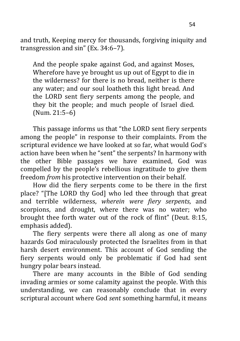and truth, Keeping mercy for thousands, forgiving iniquity and transgression and sin" (Ex. 34:6–7).

And the people spake against God, and against Moses, Wherefore have ye brought us up out of Egypt to die in the wilderness? for there is no bread, neither is there any water; and our soul loatheth this light bread. And the LORD sent fiery serpents among the people, and they bit the people; and much people of Israel died. (Num. 21:5–6)

This passage informs us that "the LORD sent fiery serpents among the people" in response to their complaints. From the scriptural evidence we have looked at so far, what would God's action have been when he "sent" the serpents? In harmony with the other Bible passages we have examined, God was compelled by the people's rebellious ingratitude to give them freedom *from* his protective intervention on their behalf.

How did the fiery serpents come to be there in the first place? "[The LORD thy God] who led thee through that great and terrible wilderness, *wherein were fiery serpents*, and scorpions, and drought, where there was no water; who brought thee forth water out of the rock of flint" (Deut. 8:15, emphasis added).

The fiery serpents were there all along as one of many hazards God miraculously protected the Israelites from in that harsh desert environment. This account of God sending the fiery serpents would only be problematic if God had sent hungry polar bears instead.

There are many accounts in the Bible of God sending invading armies or some calamity against the people. With this understanding, we can reasonably conclude that in every scriptural account where God *sent* something harmful, it means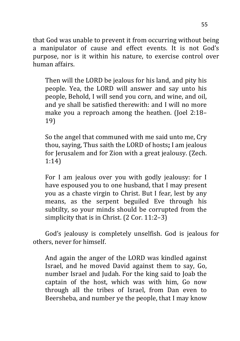that God was unable to prevent it from occurring without being a manipulator of cause and effect events. It is not God's purpose, nor is it within his nature, to exercise control over human affairs.

Then will the LORD be jealous for his land, and pity his people. Yea, the LORD will answer and say unto his people, Behold, I will send you corn, and wine, and oil, and ye shall be satisfied therewith: and I will no more make you a reproach among the heathen. (Joel 2:18– 19)

So the angel that communed with me said unto me, Cry thou, saying, Thus saith the LORD of hosts**;** I am jealous for Jerusalem and for Zion with a great jealousy. (Zech. 1:14)

For I am jealous over you with godly jealousy: for I have espoused you to one husband, that I may present you as a chaste virgin to Christ. But I fear, lest by any means, as the serpent beguiled Eve through his subtilty, so your minds should be corrupted from the simplicity that is in Christ. (2 Cor. 11:2–3)

God's jealousy is completely unselfish. God is jealous for others, never for himself.

And again the anger of the LORD was kindled against Israel, and he moved David against them to say, Go, number Israel and Judah. For the king said to Joab the captain of the host, which was with him, Go now through all the tribes of Israel, from Dan even to Beersheba, and number ye the people, that I may know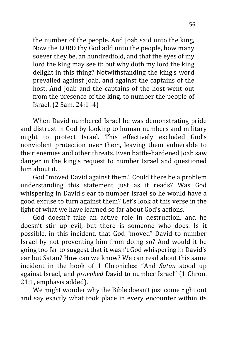the number of the people. And Joab said unto the king, Now the LORD thy God add unto the people, how many soever they be, an hundredfold, and that the eyes of my lord the king may see it: but why doth my lord the king delight in this thing? Notwithstanding the king's word prevailed against Joab, and against the captains of the host. And Joab and the captains of the host went out from the presence of the king, to number the people of Israel. (2 Sam. 24:1–4)

When David numbered Israel he was demonstrating pride and distrust in God by looking to human numbers and military might to protect Israel. This effectively excluded God's nonviolent protection over them, leaving them vulnerable to their enemies and other threats. Even battle-hardened Joab saw danger in the king's request to number Israel and questioned him about it.

God "moved David against them." Could there be a problem understanding this statement just as it reads? Was God whispering in David's ear to number Israel so he would have a good excuse to turn against them? Let's look at this verse in the light of what we have learned so far about God's actions.

God doesn't take an active role in destruction, and he doesn't stir up evil, but there is someone who does. Is it possible, in this incident, that God "moved" David to number Israel by not preventing him from doing so? And would it be going too far to suggest that it wasn't God whispering in David's ear but Satan? How can we know? We can read about this same incident in the book of 1 Chronicles: "And *Satan* stood up against Israel, and *provoked* David to number Israel" (1 Chron. 21:1, emphasis added).

We might wonder why the Bible doesn't just come right out and say exactly what took place in every encounter within its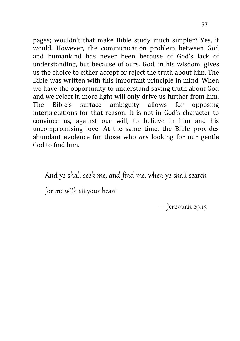pages; wouldn't that make Bible study much simpler? Yes, it would. However, the communication problem between God and humankind has never been because of God's lack of understanding, but because of ours. God, in his wisdom, gives us the choice to either accept or reject the truth about him. The Bible was written with this important principle in mind. When we have the opportunity to understand saving truth about God and we reject it, more light will only drive us further from him. The Bible's surface ambiguity allows for opposing interpretations for that reason. It is not in God's character to convince us, against our will, to believe in him and his uncompromising love. At the same time, the Bible provides abundant evidence for those who *are* looking for our gentle God to find him.

And ye shall seek me, and find me, when ye shall search

for me with all your heart.

—Jeremiah 29:13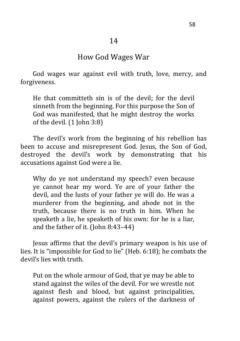# How God Wages War

 God wages war against evil with truth, love, mercy, and forgiveness.

He that committeth sin is of the devil; for the devil sinneth from the beginning. For this purpose the Son of God was manifested, that he might destroy the works of the devil. (1 John 3:8)

The devil's work from the beginning of his rebellion has been to accuse and misrepresent God. Jesus, the Son of God, destroyed the devil's work by demonstrating that his accusations against God were a lie.

Why do ye not understand my speech? even because ye cannot hear my word. Ye are of your father the devil, and the lusts of your father ye will do. He was a murderer from the beginning, and abode not in the truth, because there is no truth in him. When he speaketh a lie, he speaketh of his own: for he is a liar, and the father of it. (John 8:43–44)

Jesus affirms that the devil's primary weapon is his use of lies. It is "impossible for God to lie" (Heb. 6:18); he combats the devil's lies with truth.

Put on the whole armour of God, that ye may be able to stand against the wiles of the devil. For we wrestle not against flesh and blood, but against principalities, against powers, against the rulers of the darkness of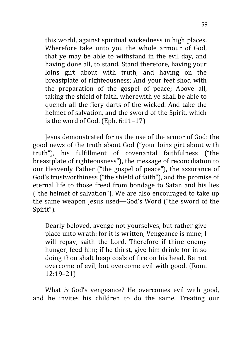this world, against spiritual wickedness in high places. Wherefore take unto you the whole armour of God, that ye may be able to withstand in the evil day, and having done all, to stand. Stand therefore, having your loins girt about with truth, and having on the breastplate of righteousness; And your feet shod with the preparation of the gospel of peace; Above all, taking the shield of faith, wherewith ye shall be able to quench all the fiery darts of the wicked. And take the helmet of salvation, and the sword of the Spirit, which is the word of God. (Eph. 6:11–17)

Jesus demonstrated for us the use of the armor of God: the good news of the truth about God ("your loins girt about with truth"), his fulfillment of covenantal faithfulness ("the breastplate of righteousness"), the message of reconciliation to our Heavenly Father ("the gospel of peace"), the assurance of God's trustworthiness ("the shield of faith"), and the promise of eternal life to those freed from bondage to Satan and his lies ("the helmet of salvation"). We are also encouraged to take up the same weapon Jesus used—God's Word ("the sword of the Spirit").

Dearly beloved, avenge not yourselves, but rather give place unto wrath: for it is written, Vengeance is mine; I will repay, saith the Lord. Therefore if thine enemy hunger, feed him; if he thirst, give him drink: for in so doing thou shalt heap coals of fire on his head**.** Be not overcome of evil, but overcome evil with good. (Rom. 12:19–21)

What *is* God's vengeance? He overcomes evil with good, and he invites his children to do the same. Treating our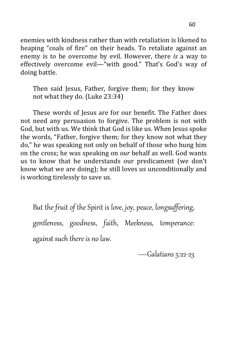enemies with kindness rather than with retaliation is likened to heaping "coals of fire" on their heads. To retaliate against an enemy is to be overcome by evil. However, there *is* a way to effectively overcome evil—"with good." That's God's way of doing battle.

Then said Jesus, Father, forgive them; for they know not what they do. (Luke 23:34)

These words of Jesus are for our benefit. The Father does not need any persuasion to forgive. The problem is not with God, but with us. We think that God is like us. When Jesus spoke the words, "Father, forgive them; for they know not what they do," he was speaking not only on behalf of those who hung him on the cross; he was speaking on *our* behalf as well. God wants us to know that he understands our predicament (we don't know what we are doing); he still loves us unconditionally and is working tirelessly to save us.

But the fruit of the Spirit is love, joy, peace, longsuffering, gentleness, goodness, faith, Meekness, temperance: against such there is no law.

—Galatians 5:22‐23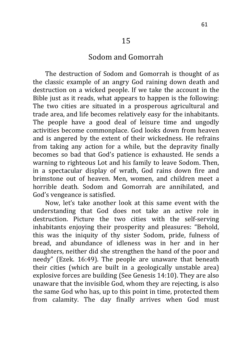# Sodom and Gomorrah

The destruction of Sodom and Gomorrah is thought of as the classic example of an angry God raining down death and destruction on a wicked people. If we take the account in the Bible just as it reads, what appears to happen is the following: The two cities are situated in a prosperous agricultural and trade area, and life becomes relatively easy for the inhabitants. The people have a good deal of leisure time and ungodly activities become commonplace. God looks down from heaven and is angered by the extent of their wickedness. He refrains from taking any action for a while, but the depravity finally becomes so bad that God's patience is exhausted. He sends a warning to righteous Lot and his family to leave Sodom. Then, in a spectacular display of wrath, God rains down fire and brimstone out of heaven. Men, women, and children meet a horrible death. Sodom and Gomorrah are annihilated, and God's vengeance is satisfied.

Now, let's take another look at this same event with the understanding that God does not take an active role in destruction. Picture the two cities with the self-serving inhabitants enjoying their prosperity and pleasures: "Behold, this was the iniquity of thy sister Sodom, pride, fulness of bread, and abundance of idleness was in her and in her daughters, neither did she strengthen the hand of the poor and needy" (Ezek. 16:49). The people are unaware that beneath their cities (which are built in a geologically unstable area) explosive forces are building (See Genesis 14:10). They are also unaware that the invisible God, whom they are rejecting, is also the same God who has, up to this point in time, protected them from calamity. The day finally arrives when God must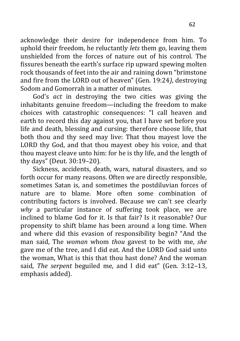acknowledge their desire for independence from him. To uphold their freedom, he reluctantly *lets* them go, leaving them unshielded from the forces of nature out of his control. The fissures beneath the earth's surface rip upward spewing molten rock thousands of feet into the air and raining down "brimstone and fire from the LORD out of heaven" (Gen. 19:24*)*, destroying Sodom and Gomorrah in a matter of minutes.

God's *act* in destroying the two cities was giving the inhabitants genuine freedom—including the freedom to make choices with catastrophic consequences: "I call heaven and earth to record this day against you, that I have set before you life and death, blessing and cursing: therefore choose life, that both thou and thy seed may live: That thou mayest love the LORD thy God, and that thou mayest obey his voice, and that thou mayest cleave unto him: for he is thy life, and the length of thy days" (Deut. 30:19–20).

Sickness, accidents, death, wars, natural disasters, and so forth occur for many reasons. Often *we* are directly responsible, sometimes Satan is, and sometimes the postdiluvian forces of nature are to blame. More often some combination of contributing factors is involved. Because we can't see clearly *why* a particular instance of suffering took place, we are inclined to blame God for it. Is that fair? Is it reasonable? Our propensity to shift blame has been around a long time. When and where did this evasion of responsibility begin? "And the man said, The *woman* whom *thou* gavest to be with me, *she* gave me of the tree, and I did eat. And the LORD God said unto the woman, What is this that thou hast done? And the woman said, *The serpent* beguiled me, and I did eat" (Gen. 3:12–13, emphasis added).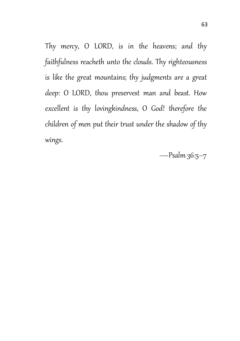Thy mercy, O LORD, is in the heavens; and thy faithfulness reacheth unto the clouds. Thy righteousness is like the great mountains; thy judgments are a great deep: O LORD, thou preservest man and beast. How excellent is thy lovingkindness, O God! therefore the children of men put their trust under the shadow of thy wings.

—Psalm 36:5–7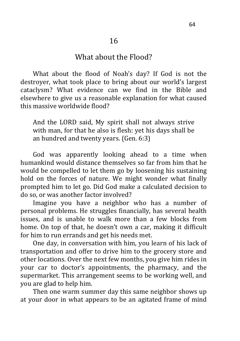#### What about the Flood?

What about the flood of Noah's day? If God is not the destroyer, what took place to bring about our world's largest cataclysm? What evidence can we find in the Bible and elsewhere to give us a reasonable explanation for what caused this massive worldwide flood?

And the LORD said, My spirit shall not always strive with man, for that he also is flesh: yet his days shall be an hundred and twenty years. (Gen. 6:3)

God was apparently looking ahead to a time when humankind would distance themselves so far from him that he would be compelled to let them go by loosening his sustaining hold on the forces of nature. We might wonder what finally prompted him to let go. Did God make a calculated decision to do so, or was another factor involved?

Imagine you have a neighbor who has a number of personal problems. He struggles financially, has several health issues, and is unable to walk more than a few blocks from home. On top of that, he doesn't own a car, making it difficult for him to run errands and get his needs met.

One day, in conversation with him, you learn of his lack of transportation and offer to drive him to the grocery store and other locations. Over the next few months, you give him rides in your car to doctor's appointments, the pharmacy, and the supermarket. This arrangement seems to be working well, and you are glad to help him.

Then one warm summer day this same neighbor shows up at your door in what appears to be an agitated frame of mind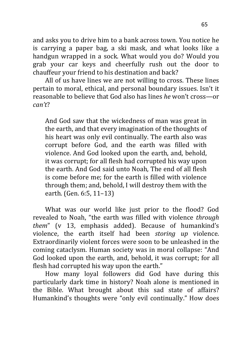and asks you to drive him to a bank across town. You notice he is carrying a paper bag, a ski mask, and what looks like a handgun wrapped in a sock. What would you do? Would you grab your car keys and cheerfully rush out the door to chauffeur your friend to his destination and back?

All of us have lines we are not willing to cross. These lines pertain to moral, ethical, and personal boundary issues. Isn't it reasonable to believe that God also has lines *he* won't cross—or *can't*?

And God saw that the wickedness of man was great in the earth, and that every imagination of the thoughts of his heart was only evil continually. The earth also was corrupt before God, and the earth was filled with violence. And God looked upon the earth, and, behold, it was corrupt; for all flesh had corrupted his way upon the earth. And God said unto Noah, The end of all flesh is come before me; for the earth is filled with violence through them; and, behold, I will destroy them with the earth. (Gen. 6:5, 11–13)

What was our world like just prior to the flood? God revealed to Noah, "the earth was filled with violence *through them*" (v 13, emphasis added). Because of humankind's violence, the earth itself had been *storing up* violence. Extraordinarily violent forces were soon to be unleashed in the coming cataclysm. Human society was in moral collapse: "And God looked upon the earth, and, behold, it was corrupt; for all flesh had corrupted his way upon the earth."

How many loyal followers did God have during this particularly dark time in history? Noah alone is mentioned in the Bible. What brought about this sad state of affairs? Humankind's thoughts were "only evil continually." How does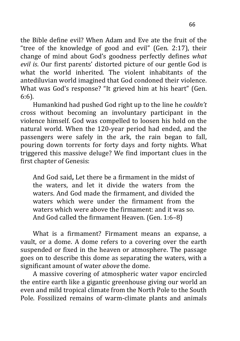the Bible define evil? When Adam and Eve ate the fruit of the "tree of the knowledge of good and evil" (Gen. 2:17), their change of mind about God's goodness perfectly defines *what evil is*. Our first parents' distorted picture of our gentle God is what the world inherited. The violent inhabitants of the antediluvian world imagined that God condoned their violence. What was God's response? "It grieved him at his heart" (Gen. 6:6).

Humankind had pushed God right up to the line he *couldn't* cross without becoming an involuntary participant in the violence himself. God was compelled to loosen his hold on the natural world. When the 120-year period had ended, and the passengers were safely in the ark, the rain began to fall, pouring down torrents for forty days and forty nights. What triggered this massive deluge? We find important clues in the first chapter of Genesis:

And God said**,** Let there be a firmament in the midst of the waters, and let it divide the waters from the waters. And God made the firmament, and divided the waters which were under the firmament from the waters which were above the firmament: and it was so. And God called the firmament Heaven*.* (Gen. 1:6–8)

What is a firmament? Firmament means an expanse, a vault, or a dome. A dome refers to a covering over the earth suspended or fixed in the heaven or atmosphere. The passage goes on to describe this dome as separating the waters, with a significant amount of water *above* the dome.

A massive covering of atmospheric water vapor encircled the entire earth like a gigantic greenhouse giving our world an even and mild tropical climate from the North Pole to the South Pole. Fossilized remains of warm-climate plants and animals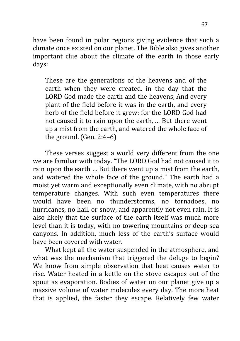have been found in polar regions giving evidence that such a climate once existed on our planet. The Bible also gives another important clue about the climate of the earth in those early days:

These are the generations of the heavens and of the earth when they were created, in the day that the LORD God made the earth and the heavens, And every plant of the field before it was in the earth, and every herb of the field before it grew: for the LORD God had not caused it to rain upon the earth, … But there went up a mist from the earth, and watered the whole face of the ground. (Gen. 2:4–6)

These verses suggest a world very different from the one we are familiar with today. "The LORD God had not caused it to rain upon the earth … But there went up a mist from the earth, and watered the whole face of the ground." The earth had a moist yet warm and exceptionally even climate, with no abrupt temperature changes. With such even temperatures there would have been no thunderstorms, no tornadoes, no hurricanes, no hail, or snow, and apparently not even rain. It is also likely that the surface of the earth itself was much more level than it is today, with no towering mountains or deep sea canyons. In addition, much less of the earth's surface would have been covered with water.

What kept all the water suspended in the atmosphere, and what was the mechanism that triggered the deluge to begin? We know from simple observation that heat causes water to rise. Water heated in a kettle on the stove escapes out of the spout as evaporation. Bodies of water on our planet give up a massive volume of water molecules every day. The more heat that is applied, the faster they escape. Relatively few water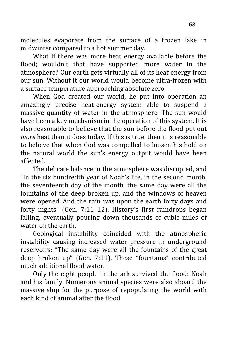molecules evaporate from the surface of a frozen lake in midwinter compared to a hot summer day.

What if there was more heat energy available before the flood; wouldn't that have supported more water in the atmosphere? Our earth gets virtually all of its heat energy from our sun. Without it our world would become ultra-frozen with a surface temperature approaching absolute zero.

When God created our world, he put into operation an amazingly precise heat-energy system able to suspend a massive quantity of water in the atmosphere. The sun would have been a key mechanism in the operation of this system. It is also reasonable to believe that the sun before the flood put out *more* heat than it does today. If this is true, then it is reasonable to believe that when God was compelled to loosen his hold on the natural world the sun's energy output would have been affected.

The delicate balance in the atmosphere was disrupted, and "In the six hundredth year of Noah's life, in the second month, the seventeenth day of the month, the same day were all the fountains of the deep broken up, and the windows of heaven were opened. And the rain was upon the earth forty days and forty nights" (Gen. 7:11–12). History's first raindrops began falling, eventually pouring down thousands of cubic miles of water on the earth.

Geological instability coincided with the atmospheric instability causing increased water pressure in underground reservoirs: "The same day were all the fountains of the great deep broken up" (Gen. 7:11). These "fountains" contributed much additional flood water.

Only the eight people in the ark survived the flood: Noah and his family. Numerous animal species were also aboard the massive ship for the purpose of repopulating the world with each kind of animal after the flood.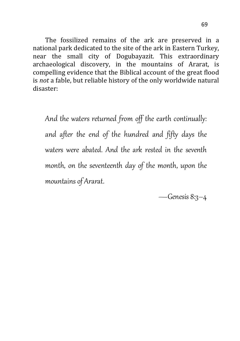The fossilized remains of the ark are preserved in a national park dedicated to the site of the ark in Eastern Turkey, near the small city of Dogubayazit. This extraordinary archaeological discovery, in the mountains of Ararat, is compelling evidence that the Biblical account of the great flood is *not* a fable, but reliable history of the only worldwide natural disaster:

And the waters returned from off the earth continually: and after the end of the hundred and fifty days the waters were abated. And the ark rested in the seventh month, on the seventeenth day of the month, upon the mountains of Ararat.

—Genesis 8:3–4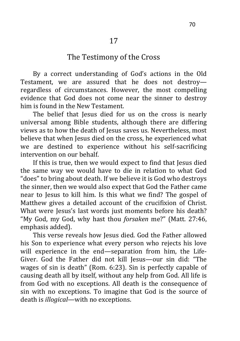# The Testimony of the Cross

By a correct understanding of God's actions in the Old Testament, we are assured that he does not destroy regardless of circumstances. However, the most compelling evidence that God does not come near the sinner to destroy him is found in the New Testament.

The belief that Jesus died for us on the cross is nearly universal among Bible students, although there are differing views as to how the death of Jesus saves us. Nevertheless, most believe that when Jesus died on the cross, he experienced what we are destined to experience without his self-sacrificing intervention on our behalf.

If this is true, then we would expect to find that Jesus died the same way we would have to die in relation to what God "does" to bring about death. If we believe it is God who destroys the sinner, then we would also expect that God the Father came near to Jesus to kill him. Is this what we find? The gospel of Matthew gives a detailed account of the crucifixion of Christ. What were Jesus's last words just moments before his death? "My God, my God, why hast thou *forsaken* me?" (Matt. 27:46, emphasis added).

This verse reveals how Jesus died. God the Father allowed his Son to experience what every person who rejects his love will experience in the end—separation from him, the Life-Giver. God the Father did not kill Jesus—our sin did: "The wages of sin is death" (Rom. 6:23). Sin is perfectly capable of causing death all by itself, without any help from God. All life is from God with no exceptions. All death is the consequence of sin with no exceptions. To imagine that God is the source of death is *illogical*—with no exceptions.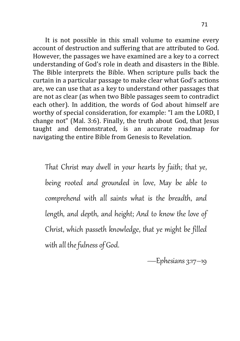It is not possible in this small volume to examine every account of destruction and suffering that are attributed to God. However, the passages we have examined are a key to a correct understanding of God's role in death and disasters in the Bible. The Bible interprets the Bible. When scripture pulls back the curtain in a particular passage to make clear what God's actions are, we can use that as a key to understand other passages that are not as clear (as when two Bible passages seem to contradict each other). In addition, the words of God about himself are worthy of special consideration, for example: "I am the LORD, I change not" (Mal. 3:6). Finally, the truth about God, that Jesus taught and demonstrated, is an accurate roadmap for navigating the entire Bible from Genesis to Revelation.

That Christ may dwell in your hearts by faith; that ye, being rooted and grounded in love, May be able to comprehend with all saints what is the breadth, and length, and depth, and height; And to know the love of Christ, which passeth knowledge, that ye might be filled with all the fulness of God.

—Ephesians 3:17–19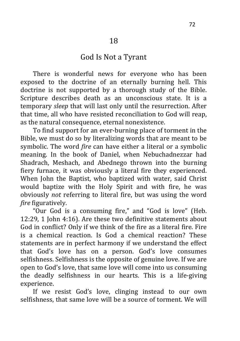# God Is Not a Tyrant

There is wonderful news for everyone who has been exposed to the doctrine of an eternally burning hell. This doctrine is not supported by a thorough study of the Bible. Scripture describes death as an unconscious state. It is a temporary *sleep* that will last only until the resurrection. After that time, all who have resisted reconciliation to God will reap, as the natural consequence, eternal nonexistence.

To find support for an ever-burning place of torment in the Bible, we must do so by literalizing words that are meant to be symbolic. The word *fire* can have either a literal or a symbolic meaning. In the book of Daniel, when Nebuchadnezzar had Shadrach, Meshach, and Abednego thrown into the burning fiery furnace, it was obviously a literal fire they experienced. When John the Baptist, who baptized with water, said Christ would baptize with the Holy Spirit and with fire, he was obviously *not* referring to literal fire, but was using the word *fire* figuratively.

"Our God is a consuming fire," and "God is love" (Heb. 12:29, 1 John 4:16). Are these two definitive statements about God in conflict? Only if we think of the fire as a literal fire. Fire is a chemical reaction. Is God a chemical reaction? These statements are in perfect harmony if we understand the effect that God's love has on a person. God's love consumes selfishness. Selfishness is the opposite of genuine love. If we are open to God's love, that same love will come into us consuming the deadly selfishness in our hearts. This is a life-giving experience.

If we resist God's love, clinging instead to our own selfishness, that same love will be a source of torment. We will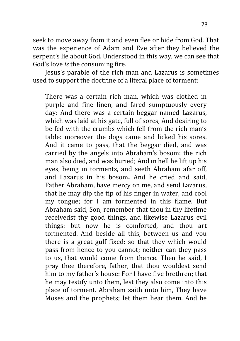seek to move away from it and even flee or hide from God. That was the experience of Adam and Eve after they believed the serpent's lie about God. Understood in this way, we can see that God's love *is* the consuming fire.

Jesus's parable of the rich man and Lazarus is sometimes used to support the doctrine of a literal place of torment:

There was a certain rich man, which was clothed in purple and fine linen, and fared sumptuously every day: And there was a certain beggar named Lazarus, which was laid at his gate, full of sores, And desiring to be fed with the crumbs which fell from the rich man's table: moreover the dogs came and licked his sores. And it came to pass, that the beggar died, and was carried by the angels into Abraham's bosom: the rich man also died, and was buried; And in hell he lift up his eyes, being in torments, and seeth Abraham afar off, and Lazarus in his bosom**.** And he cried and said, Father Abraham, have mercy on me, and send Lazarus, that he may dip the tip of his finger in water, and cool my tongue; for I am tormented in this flame. But Abraham said, Son, remember that thou in thy lifetime receivedst thy good things, and likewise Lazarus evil things: but now he is comforted, and thou art tormented. And beside all this, between us and you there is a great gulf fixed: so that they which would pass from hence to you cannot; neither can they pass to us, that would come from thence. Then he said, I pray thee therefore, father, that thou wouldest send him to my father's house: For I have five brethren; that he may testify unto them, lest they also come into this place of torment. Abraham saith unto him, They have Moses and the prophets; let them hear them. And he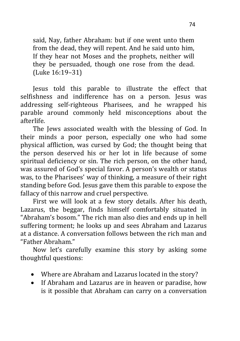said, Nay, father Abraham: but if one went unto them from the dead, they will repent. And he said unto him, If they hear not Moses and the prophets, neither will they be persuaded, though one rose from the dead. (Luke 16:19–31)

Jesus told this parable to illustrate the effect that selfishness and indifference has on a person. Jesus was addressing self-righteous Pharisees, and he wrapped his parable around commonly held misconceptions about the afterlife.

The Jews associated wealth with the blessing of God. In their minds a poor person, especially one who had some physical affliction, was cursed by God; the thought being that the person deserved his or her lot in life because of some spiritual deficiency or sin. The rich person, on the other hand, was assured of God's special favor. A person's wealth or status was, to the Pharisees' way of thinking, a measure of their right standing before God. Jesus gave them this parable to expose the fallacy of this narrow and cruel perspective.

First we will look at a few story details. After his death, Lazarus, the beggar, finds himself comfortably situated in "Abraham's bosom." The rich man also dies and ends up in hell suffering torment; he looks up and sees Abraham and Lazarus at a distance. A conversation follows between the rich man and "Father Abraham."

Now let's carefully examine this story by asking some thoughtful questions:

- Where are Abraham and Lazarus located in the story?
- If Abraham and Lazarus are in heaven or paradise, how is it possible that Abraham can carry on a conversation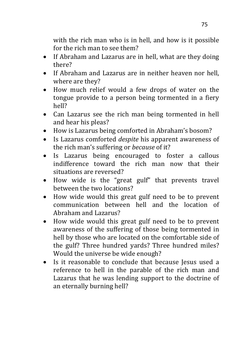with the rich man who is in hell, and how is it possible for the rich man to see them?

- If Abraham and Lazarus are in hell, what are they doing there?
- If Abraham and Lazarus are in neither heaven nor hell. where are they?
- How much relief would a few drops of water on the tongue provide to a person being tormented in a fiery hell?
- Can Lazarus see the rich man being tormented in hell and hear his pleas?
- How is Lazarus being comforted in Abraham's bosom?
- Is Lazarus comforted *despite* his apparent awareness of the rich man's suffering or *because* of it?
- Is Lazarus being encouraged to foster a callous indifference toward the rich man now that their situations are reversed?
- How wide is the "great gulf" that prevents travel between the two locations?
- How wide would this great gulf need to be to prevent communication between hell and the location of Abraham and Lazarus?
- How wide would this great gulf need to be to prevent awareness of the suffering of those being tormented in hell by those who are located on the comfortable side of the gulf? Three hundred yards? Three hundred miles? Would the universe be wide enough?
- Is it reasonable to conclude that because Jesus used a reference to hell in the parable of the rich man and Lazarus that he was lending support to the doctrine of an eternally burning hell?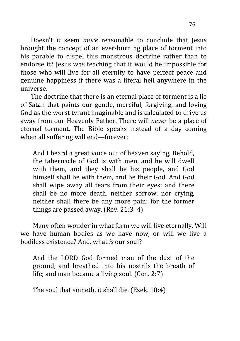Doesn't it seem *more* reasonable to conclude that Jesus brought the concept of an ever-burning place of torment into his parable to dispel this monstrous doctrine rather than to endorse it? Jesus was teaching that it would be impossible for those who will live for all eternity to have perfect peace and genuine happiness if there was a literal hell anywhere in the universe.

The doctrine that there is an eternal place of torment is a lie of Satan that paints our gentle, merciful, forgiving, and loving God as the worst tyrant imaginable and is calculated to drive us away from our Heavenly Father. There will *never* be a place of eternal torment. The Bible speaks instead of a day coming when all suffering will end—forever:

And I heard a great voice out of heaven saying, Behold, the tabernacle of God is with men, and he will dwell with them, and they shall be his people, and God himself shall be with them, and be their God. And God shall wipe away all tears from their eyes; and there shall be no more death, neither sorrow, nor crying, neither shall there be any more pain: for the former things are passed away. (Rev. 21:3–4)

Many often wonder in what form we will live eternally. Will we have human bodies as we have now, or will we live a bodiless existence? And, what *is* our soul?

And the LORD God formed man of the dust of the ground, and breathed into his nostrils the breath of life; and man became a living soul. (Gen. 2:7)

The soul that sinneth, it shall die. (Ezek. 18:4)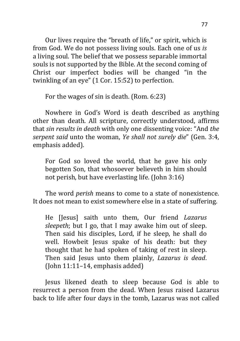Our lives require the "breath of life," or spirit, which is from God. We do not possess living souls. Each one of us *is* a living soul. The belief that we possess separable immortal souls is not supported by the Bible. At the second coming of Christ our imperfect bodies will be changed "in the twinkling of an eye" (1 Cor. 15:52) to perfection.

For the wages of sin is death. (Rom. 6:23)

Nowhere in God's Word is death described as anything other than death. All scripture, correctly understood, affirms that *sin results in death* with only one dissenting voice: "And *the serpent said* unto the woman, *Ye shall not surely die*" (Gen. 3:4, emphasis added).

For God so loved the world, that he gave his only begotten Son, that whosoever believeth in him should not perish, but have everlasting life. (John 3:16)

The word *perish* means to come to a state of nonexistence. It does not mean to exist somewhere else in a state of suffering.

He [Jesus] saith unto them, Our friend *Lazarus sleepeth*; but I go, that I may awake him out of sleep. Then said his disciples, Lord, if he sleep, he shall do well. Howbeit Jesus spake of his death: but they thought that he had spoken of taking of rest in sleep. Then said Jesus unto them plainly, *Lazarus is dead*. (John 11:11–14, emphasis added)

Jesus likened death to sleep because God is able to resurrect a person from the dead. When Jesus raised Lazarus back to life after four days in the tomb, Lazarus was not called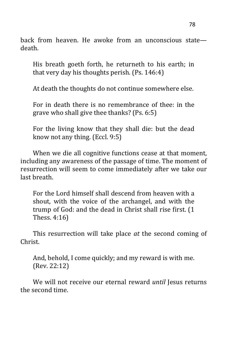back from heaven. He awoke from an unconscious state death.

His breath goeth forth, he returneth to his earth; in that very day his thoughts perish. (Ps. 146:4)

At death the thoughts do not continue somewhere else.

For in death there is no remembrance of thee: in the grave who shall give thee thanks? (Ps. 6:5)

For the living know that they shall die: but the dead know not any thing. (Eccl. 9:5)

When we die all cognitive functions cease at that moment, including any awareness of the passage of time. The moment of resurrection will seem to come immediately after we take our last breath.

For the Lord himself shall descend from heaven with a shout, with the voice of the archangel, and with the trump of God: and the dead in Christ shall rise first. (1 Thess. 4:16)

This resurrection will take place *at* the second coming of Christ.

And, behold, I come quickly; and my reward is with me. (Rev. 22:12)

We will not receive our eternal reward *until* Jesus returns the second time.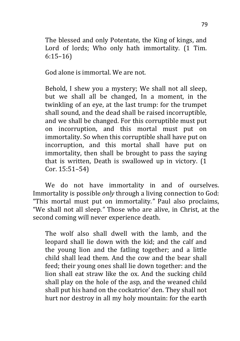The blessed and only Potentate, the King of kings, and Lord of lords; Who only hath immortality. (1 Tim. 6:15–16)

God alone is immortal. We are not.

Behold, I shew you a mystery; We shall not all sleep, but we shall all be changed, In a moment, in the twinkling of an eye, at the last trump: for the trumpet shall sound, and the dead shall be raised incorruptible, and we shall be changed. For this corruptible must put on incorruption, and this mortal must put on immortality. So when this corruptible shall have put on incorruption, and this mortal shall have put on immortality, then shall be brought to pass the saying that is written, Death is swallowed up in victory. (1 Cor. 15:51–54)

We do not have immortality in and of ourselves. Immortality is possible *only* through a living connection to God: "This mortal must put on immortality*."* Paul also proclaims, "We shall not all sleep*."* Those who are alive, in Christ, at the second coming will never experience death.

The wolf also shall dwell with the lamb, and the leopard shall lie down with the kid; and the calf and the young lion and the fatling together; and a little child shall lead them. And the cow and the bear shall feed; their young ones shall lie down together: and the lion shall eat straw like the ox. And the sucking child shall play on the hole of the asp, and the weaned child shall put his hand on the cockatrice' den. They shall not hurt nor destroy in all my holy mountain: for the earth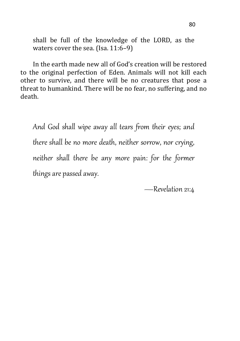shall be full of the knowledge of the LORD, as the waters cover the sea. (Isa. 11:6-9)

In the earth made new all of God's creation will be restored to the original perfection of Eden. Animals will not kill each other to survive, and there will be no creatures that pose a threat to humankind. There will be no fear, no suffering, and no death.

And God shall wipe away all tears from their eyes; and there shall be no more death, neither sorrow, nor crying, neither shall there be any more pain: for the former things are passed away.

—Revelation 21:4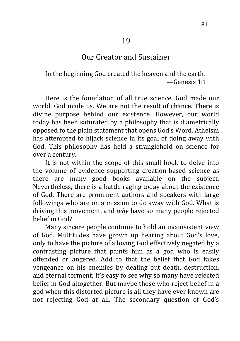## Our Creator and Sustainer

In the beginning God created the heaven and the earth. —Genesis 1:1

Here is the foundation of all true science. God made our world. God made us. We are not the result of chance. There is divine purpose behind our existence. However, our world today has been saturated by a philosophy that is diametrically opposed to the plain statement that opens God's Word. Atheism has attempted to hijack science in its goal of doing away with God. This philosophy has held a stranglehold on science for over a century.

It is not within the scope of this small book to delve into the volume of evidence supporting creation-based science as there are many good books available on the subject. Nevertheless, there is a battle raging today about the existence of God. There are prominent authors and speakers with large followings who are on a mission to do away with God. What is driving this movement, and *why* have so many people rejected belief in God?

Many sincere people continue to hold an inconsistent view of God. Multitudes have grown up hearing about God's love, only to have the picture of a loving God effectively negated by a contrasting picture that paints him as a god who is easily offended or angered. Add to that the belief that God takes vengeance on his enemies by dealing out death, destruction, and eternal torment; it's easy to see why so many have rejected belief in God altogether. But maybe those who reject belief in a god when this distorted picture is all they have ever known are not rejecting God at all. The secondary question of God's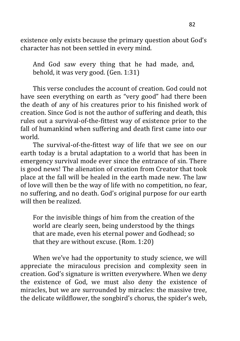existence only exists because the primary question about God's character has not been settled in every mind.

And God saw every thing that he had made, and, behold, it was very good. (Gen. 1:31)

This verse concludes the account of creation. God could not have seen everything on earth as "very good" had there been the death of any of his creatures prior to his finished work of creation. Since God is not the author of suffering and death, this rules out a survival-of-the-fittest way of existence prior to the fall of humankind when suffering and death first came into our world.

The survival-of-the-fittest way of life that we see on our earth today is a brutal adaptation to a world that has been in emergency survival mode ever since the entrance of sin. There is good news! The alienation of creation from Creator that took place at the fall will be healed in the earth made new. The law of love will then be the way of life with no competition, no fear, no suffering, and no death. God's original purpose for our earth will then be realized.

For the invisible things of him from the creation of the world are clearly seen, being understood by the things that are made, even his eternal power and Godhead; so that they are without excuse. (Rom. 1:20)

When we've had the opportunity to study science, we will appreciate the miraculous precision and complexity seen in creation. God's signature is written everywhere. When we deny the existence of God, we must also deny the existence of miracles, but we are surrounded by miracles: the massive tree, the delicate wildflower, the songbird's chorus, the spider's web,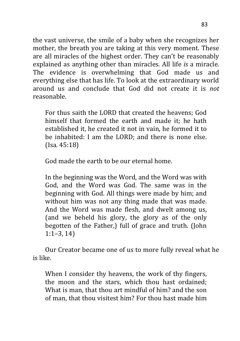the vast universe, the smile of a baby when she recognizes her mother, the breath you are taking at this very moment. These are all miracles of the highest order. They can't be reasonably explained as anything other than miracles. All life *is* a miracle. The evidence is overwhelming that God made us and everything else that has life. To look at the extraordinary world around us and conclude that God did not create it is *not* reasonable.

For thus saith the LORD that created the heavens; God himself that formed the earth and made it; he hath established it, he created it not in vain, he formed it to be inhabited: I am the LORD; and there is none else. (Isa. 45:18)

God made the earth to be our eternal home.

In the beginning was the Word, and the Word was with God, and the Word was God. The same was in the beginning with God. All things were made by him; and without him was not any thing made that was made. And the Word was made flesh, and dwelt among us, (and we beheld his glory, the glory as of the only begotten of the Father,) full of grace and truth. (John 1:1–3, 14)

Our Creator became one of us to more fully reveal what he is like.

When I consider thy heavens, the work of thy fingers, the moon and the stars, which thou hast ordained; What is man, that thou art mindful of him? and the son of man, that thou visitest him? For thou hast made him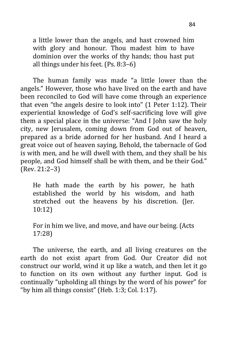a little lower than the angels, and hast crowned him with glory and honour. Thou madest him to have dominion over the works of thy hands; thou hast put all things under his feet. (Ps. 8:3–6)

The human family was made "a little lower than the angels." However, those who have lived on the earth and have been reconciled to God will have come through an experience that even "the angels desire to look into" (1 Peter 1:12). Their experiential knowledge of God's self-sacrificing love will give them a special place in the universe: "And I John saw the holy city, new Jerusalem, coming down from God out of heaven, prepared as a bride adorned for her husband. And I heard a great voice out of heaven saying, Behold, the tabernacle of God is with men, and he will dwell with them, and they shall be his people, and God himself shall be with them, and be their God." (Rev. 21:2–3)

He hath made the earth by his power, he hath established the world by his wisdom, and hath stretched out the heavens by his discretion. (Jer. 10:12)

For in him we live, and move, and have our being. (Acts 17:28)

The universe, the earth, and all living creatures on the earth do not exist apart from God. Our Creator did not construct our world, wind it up like a watch, and then let it go to function on its own without any further input. God is continually "upholding all things by the word of his power" for "by him all things consist" (Heb. 1:3; Col. 1:17).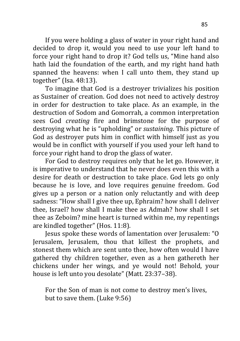If you were holding a glass of water in your right hand and decided to drop it, would you need to use your left hand to force your right hand to drop it? God tells us, "Mine hand also hath laid the foundation of the earth, and my right hand hath spanned the heavens: when I call unto them, they stand up together" (Isa. 48:13).

To imagine that God is a destroyer trivializes his position as Sustainer of creation. God does not need to actively destroy in order for destruction to take place. As an example, in the destruction of Sodom and Gomorrah, a common interpretation sees God *creating* fire and brimstone for the purpose of destroying what he is "upholding" or *sustaining*. This picture of God as destroyer puts him in conflict with himself just as you would be in conflict with yourself if you used your left hand to force your right hand to drop the glass of water.

For God to destroy requires only that he let go. However, it is imperative to understand that he never does even this with a desire for death or destruction to take place. God lets go only because he is love, and love requires genuine freedom. God gives up a person or a nation only reluctantly and with deep sadness: "How shall I give thee up, Ephraim? how shall I deliver thee, Israel? how shall I make thee as Admah? how shall I set thee as Zeboim? mine heart is turned within me, my repentings are kindled together" (Hos. 11:8).

Jesus spoke these words of lamentation over Jerusalem: "O Jerusalem, Jerusalem, thou that killest the prophets, and stonest them which are sent unto thee, how often would I have gathered thy children together, even as a hen gathereth her chickens under her wings, and ye would not! Behold, your house is left unto you desolate" (Matt. 23:37–38).

For the Son of man is not come to destroy men's lives, but to save them. (Luke 9:56)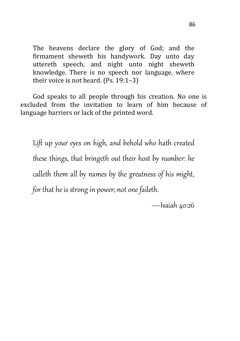The heavens declare the glory of God; and the firmament sheweth his handywork. Day unto day uttereth speech, and night unto night sheweth knowledge. There is no speech nor language, where their voice is not heard. (Ps. 19:1–3)

God speaks to all people through his creation. No one is excluded from the invitation to learn of him because of language barriers or lack of the printed word.

Lift up your eyes on high, and behold who hath created these things, that bringeth out their host by number: he calleth them all by names by the greatness of his might, for that he is strong in power; not one faileth.

—Isaiah 40:26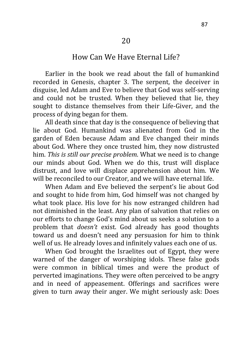## How Can We Have Eternal Life?

Earlier in the book we read about the fall of humankind recorded in Genesis, chapter 3. The serpent, the deceiver in disguise, led Adam and Eve to believe that God was self-serving and could not be trusted. When they believed that lie, they sought to distance themselves from their Life-Giver, and the process of dying began for them.

All death since that day is the consequence of believing that lie about God. Humankind was alienated from God in the garden of Eden because Adam and Eve changed their minds about God. Where they once trusted him, they now distrusted him. *This is still our precise problem*. What we need is to change our minds about God. When we do this, trust will displace distrust, and love will displace apprehension about him. We will be reconciled to our Creator, and we will have eternal life.

When Adam and Eve believed the serpent's lie about God and sought to hide from him, God himself was not changed by what took place. His love for his now estranged children had not diminished in the least. Any plan of salvation that relies on our efforts to change God's mind about us seeks a solution to a problem that *doesn't* exist. God already has good thoughts toward us and doesn't need any persuasion for him to think well of us. He already loves and infinitely values each one of us.

When God brought the Israelites out of Egypt, they were warned of the danger of worshiping idols. These false gods were common in biblical times and were the product of perverted imaginations. They were often perceived to be angry and in need of appeasement. Offerings and sacrifices were given to turn away their anger. We might seriously ask: Does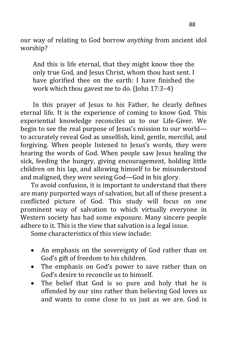our way of relating to God borrow *anything* from ancient idol worship?

And this is life eternal, that they might know thee the only true God, and Jesus Christ, whom thou hast sent. I have glorified thee on the earth: I have finished the work which thou gavest me to do. (John 17:3–4)

In this prayer of Jesus to his Father, he clearly defines eternal life. It is the experience of coming to know God. This experiential knowledge reconciles us to our Life-Giver. We begin to see the real purpose of Jesus's mission to our world to accurately reveal God as unselfish, kind, gentle, merciful, and forgiving. When people listened to Jesus's words, they were hearing the words of God. When people saw Jesus healing the sick, feeding the hungry, giving encouragement, holding little children on his lap, and allowing himself to be misunderstood and maligned, they were seeing God—God in his glory.

To avoid confusion, it is important to understand that there are many purported ways of salvation, but all of these present a conflicted picture of God. This study will focus on one prominent way of salvation to which virtually everyone in Western society has had some exposure. Many sincere people adhere to it. This is the view that salvation is a legal issue.

Some characteristics of this view include:

- An emphasis on the sovereignty of God rather than on God's gift of freedom to his children.
- The emphasis on God's power to save rather than on God's desire to reconcile us to himself.
- The belief that God is so pure and holy that he is offended by our sins rather than believing God loves us and wants to come close to us just as we are. God is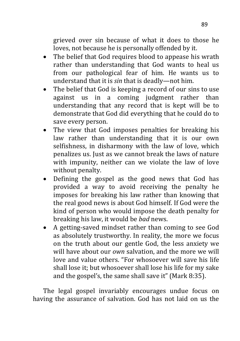grieved over sin because of what it does to those he loves, not because he is personally offended by it.

- The belief that God requires blood to appease his wrath rather than understanding that God wants to heal us from our pathological fear of him. He wants us to understand that it is *sin* that is deadly—not him.
- The belief that God is keeping a record of our sins to use against us in a coming judgment rather than understanding that any record that is kept will be to demonstrate that God did everything that he could do to save every person.
- The view that God imposes penalties for breaking his law rather than understanding that it is our own selfishness, in disharmony with the law of love, which penalizes us. Just as we cannot break the laws of nature with impunity, neither can we violate the law of love without penalty.
- Defining the gospel as the good news that God has provided a way to avoid receiving the penalty he imposes for breaking his law rather than knowing that the real good news is about God himself. If God were the kind of person who would impose the death penalty for breaking his law, it would be *bad* news.
- A getting-saved mindset rather than coming to see God as absolutely trustworthy. In reality, the more we focus on the truth about our gentle God, the less anxiety we will have about our *own* salvation, and the more we will love and value others. "For whosoever will save his life shall lose it; but whosoever shall lose his life for my sake and the gospel's, the same shall save it" (Mark 8:35).

The legal gospel invariably encourages undue focus on having the assurance of salvation. God has not laid on us the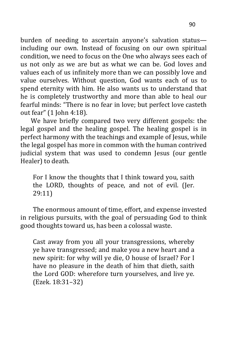burden of needing to ascertain anyone's salvation status including our own. Instead of focusing on our own spiritual condition, we need to focus on the One who always sees each of us not only as we are but as what we can be. God loves and values each of us infinitely more than we can possibly love and value ourselves. Without question, God wants each of us to spend eternity with him. He also wants us to understand that he is completely trustworthy and more than able to heal our fearful minds: "There is no fear in love; but perfect love casteth out fear" (1 John 4:18).

We have briefly compared two very different gospels: the legal gospel and the healing gospel. The healing gospel is in perfect harmony with the teachings and example of Jesus, while the legal gospel has more in common with the human contrived judicial system that was used to condemn Jesus (our gentle Healer) to death.

For I know the thoughts that I think toward you, saith the LORD, thoughts of peace, and not of evil. (Jer. 29:11)

The enormous amount of time, effort, and expense invested in religious pursuits, with the goal of persuading God to think good thoughts toward us, has been a colossal waste.

Cast away from you all your transgressions, whereby ye have transgressed; and make you a new heart and a new spirit: for why will ye die, O house of Israel? For I have no pleasure in the death of him that dieth, saith the Lord GOD: wherefore turn yourselves, and live ye. (Ezek. 18:31–32)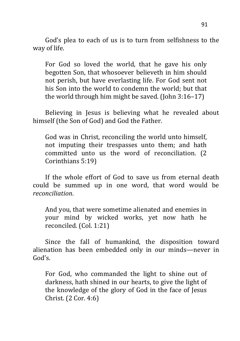God's plea to each of us is to turn from selfishness to the way of life.

For God so loved the world, that he gave his only begotten Son, that whosoever believeth in him should not perish, but have everlasting life. For God sent not his Son into the world to condemn the world; but that the world through him might be saved. (John 3:16–17)

Believing in Jesus is believing what he revealed about himself (the Son of God) and God the Father.

God was in Christ, reconciling the world unto himself, not imputing their trespasses unto them; and hath committed unto us the word of reconciliation. (2 Corinthians 5:19)

If the whole effort of God to save us from eternal death could be summed up in one word, that word would be *reconciliation*.

And you, that were sometime alienated and enemies in your mind by wicked works, yet now hath he reconciled. (Col. 1:21)

Since the fall of humankind, the disposition toward alienation has been embedded only in our minds—never in God's.

For God, who commanded the light to shine out of darkness, hath shined in our hearts, to give the light of the knowledge of the glory of God in the face of Jesus Christ. (2 Cor. 4:6)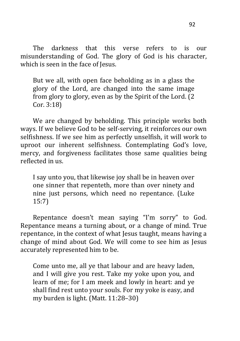The darkness that this verse refers to is our misunderstanding of God. The glory of God is his character, which is seen in the face of Jesus.

But we all, with open face beholding as in a glass the glory of the Lord, are changed into the same image from glory to glory, even as by the Spirit of the Lord. (2 Cor. 3:18)

We are changed by beholding. This principle works both ways. If we believe God to be self-serving, it reinforces our own selfishness. If we see him as perfectly unselfish, it will work to uproot our inherent selfishness. Contemplating God's love, mercy, and forgiveness facilitates those same qualities being reflected in us.

I say unto you, that likewise joy shall be in heaven over one sinner that repenteth, more than over ninety and nine just persons, which need no repentance. (Luke 15:7)

Repentance doesn't mean saying "I'm sorry" to God. Repentance means a turning about, or a change of mind. True repentance, in the context of what Jesus taught, means having a change of mind about God. We will come to see him as Jesus accurately represented him to be.

Come unto me, all ye that labour and are heavy laden, and I will give you rest. Take my yoke upon you, and learn of me; for I am meek and lowly in heart: and ye shall find rest unto your souls. For my yoke is easy, and my burden is light. (Matt. 11:28–30)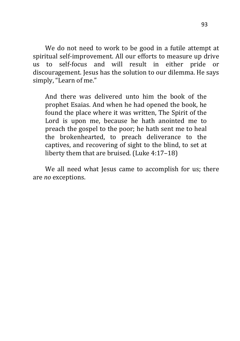We do not need to work to be good in a futile attempt at spiritual self-improvement. All our efforts to measure up drive us to self-focus and will result in either pride or discouragement. Jesus has the solution to our dilemma. He says simply, "Learn of me."

And there was delivered unto him the book of the prophet Esaias. And when he had opened the book, he found the place where it was written, The Spirit of the Lord is upon me, because he hath anointed me to preach the gospel to the poor; he hath sent me to heal the brokenhearted, to preach deliverance to the captives, and recovering of sight to the blind, to set at liberty them that are bruised. (Luke 4:17–18)

We all need what Jesus came to accomplish for us; there are *no* exceptions.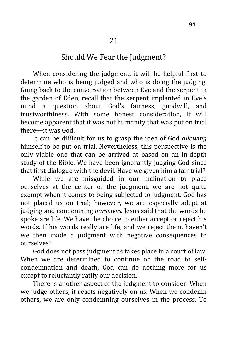## Should We Fear the Judgment?

When considering the judgment, it will be helpful first to determine who is being judged and who is doing the judging. Going back to the conversation between Eve and the serpent in the garden of Eden, recall that the serpent implanted in Eve's mind a question about God's fairness, goodwill, and trustworthiness. With some honest consideration, it will become apparent that it was not humanity that was put on trial there—it was God.

It can be difficult for us to grasp the idea of God *allowing* himself to be put on trial. Nevertheless, this perspective is the only viable one that can be arrived at based on an in-depth study of the Bible. We have been ignorantly judging God since that first dialogue with the devil. Have we given him a fair trial?

While we are misguided in our inclination to place ourselves at the center of the judgment, we are not quite exempt when it comes to being subjected to judgment. God has not placed us on trial; however, we are especially adept at judging and condemning *ourselves*. Jesus said that the words he spoke are life. We have the choice to either accept or reject his words. If his words really are life, and we reject them, haven't we then made a judgment with negative consequences to ourselves?

God does not pass judgment as takes place in a court of law. When we are determined to continue on the road to selfcondemnation and death, God can do nothing more for us except to reluctantly ratify our decision.

There is another aspect of the judgment to consider. When we judge others, it reacts negatively on us. When we condemn others, we are only condemning ourselves in the process. To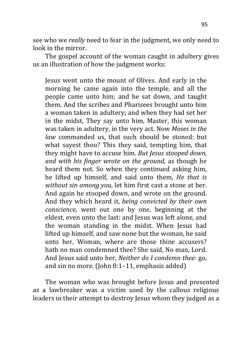see who we *really* need to fear in the judgment, we only need to look in the mirror.

The gospel account of the woman caught in adultery gives us an illustration of how the judgment works:

Jesus went unto the mount of Olives. And early in the morning he came again into the temple, and all the people came unto him; and he sat down, and taught them. And the scribes and Pharisees brought unto him a woman taken in adultery; and when they had set her in the midst, They say unto him, Master, this woman was taken in adultery, in the very act. Now *Moses in the law* commanded us, that such should be stoned: but what sayest thou? This they said, tempting him, that they might have to accuse him. *But Jesus stooped down, and with his finger wrote on the ground*, as though he heard them not. So when they continued asking him, he lifted up himself, and said unto them, *He that is without sin among you*, let him first cast a stone at her. And again he stooped down, and wrote on the ground. And they which heard it, *being convicted by their own conscience*, went out one by one, beginning at the eldest, even unto the last: and Jesus was left alone, and the woman standing in the midst. When Jesus had lifted up himself, and saw none but the woman, he said unto her, Woman, where are those thine accusers? hath no man condemned thee? She said, No man, Lord. And Jesus said unto her, *Neither do I condemn thee*: go, and sin no more. (John 8:1–11, emphasis added)

The woman who was brought before Jesus and presented as a lawbreaker was a victim used by the callous religious leaders in their attempt to destroy Jesus whom they judged as a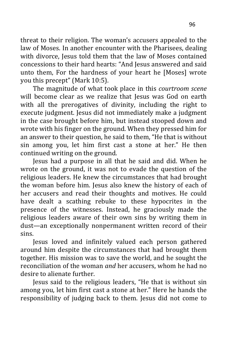threat to their religion. The woman's accusers appealed to the law of Moses. In another encounter with the Pharisees, dealing with divorce, Jesus told them that the law of Moses contained concessions to their hard hearts: "And Jesus answered and said unto them, For the hardness of your heart he [Moses] wrote you this precept" (Mark 10:5).

The magnitude of what took place in this *courtroom scene* will become clear as we realize that Jesus was God on earth with all the prerogatives of divinity, including the right to execute judgment. Jesus did not immediately make a judgment in the case brought before him, but instead stooped down and wrote with his finger on the ground. When they pressed him for an answer to their question, he said to them, "He that is without sin among you, let him first cast a stone at her." He then continued writing on the ground.

Jesus had a purpose in all that he said and did. When he wrote on the ground, it was not to evade the question of the religious leaders. He knew the circumstances that had brought the woman before him. Jesus also knew the history of each of her accusers and read their thoughts and motives. He could have dealt a scathing rebuke to these hypocrites in the presence of the witnesses. Instead, he graciously made the religious leaders aware of their own sins by writing them in dust—an exceptionally nonpermanent written record of their sins.

Jesus loved and infinitely valued each person gathered around him despite the circumstances that had brought them together. His mission was to save the world, and he sought the reconciliation of the woman *and* her accusers, whom he had no desire to alienate further.

Jesus said to the religious leaders, "He that is without sin among you, let him first cast a stone at her." Here he hands the responsibility of judging back to them. Jesus did not come to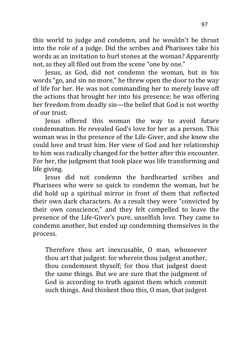this world to judge and condemn, and he wouldn't be thrust into the role of a judge. Did the scribes and Pharisees take his words as an invitation to hurl stones at the woman? Apparently not, as they all filed out from the scene "one by one."

Jesus, as God, did not condemn the woman, but in his words "go, and sin no more," he threw open the door to the way of life for her. He was not commanding her to merely leave off the actions that brought her into his presence; he was offering her freedom from deadly sin—the belief that God is not worthy of our trust.

Jesus offered this woman the way to avoid future condemnation. He revealed God's love for her as a person. This woman was in the presence of the Life-Giver, and she knew she could love and trust him. Her view of God and her relationship to him was radically changed for the better after this encounter. For her, the judgment that took place was life transforming and life giving.

Jesus did not condemn the hardhearted scribes and Pharisees who were so quick to condemn the woman, but he did hold up a spiritual mirror in front of them that reflected their own dark characters. As a result they were "convicted by their own conscience," and they felt compelled to leave the presence of the Life-Giver's pure, unselfish love. They came to condemn another, but ended up condemning themselves in the process.

Therefore thou art inexcusable, O man, whosoever thou art that judgest: for wherein thou judgest another, thou condemnest thyself; for thou that judgest doest the same things. But we are sure that the judgment of God is according to truth against them which commit such things. And thinkest thou this, O man, that judgest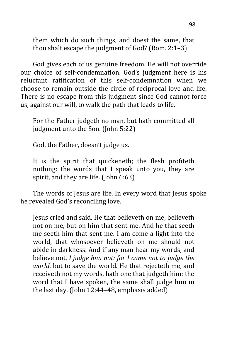them which do such things, and doest the same, that thou shalt escape the judgment of God? (Rom. 2:1–3)

God gives each of us genuine freedom. He will not override our choice of self-condemnation. God's judgment here is his reluctant ratification of this self-condemnation when we choose to remain outside the circle of reciprocal love and life. There is no escape from this judgment since God cannot force us, against our will, to walk the path that leads to life.

For the Father judgeth no man, but hath committed all judgment unto the Son. (John 5:22)

God, the Father, doesn't judge us.

It is the spirit that quickeneth; the flesh profiteth nothing: the words that I speak unto you, they are spirit, and they are life. (John 6:63)

The words of Jesus are life. In every word that Jesus spoke he revealed God's reconciling love.

Jesus cried and said, He that believeth on me, believeth not on me, but on him that sent me. And he that seeth me seeth him that sent me. I am come a light into the world, that whosoever believeth on me should not abide in darkness. And if any man hear my words, and believe not, *I judge him not: for I came not to judge the world*, but to save the world. He that rejecteth me, and receiveth not my words, hath one that judgeth him: the word that I have spoken, the same shall judge him in the last day. (John 12:44–48, emphasis added)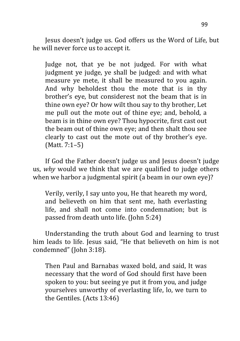Jesus doesn't judge us. God offers us the Word of Life, but he will never force us to accept it.

Judge not, that ye be not judged. For with what judgment ye judge, ye shall be judged: and with what measure ye mete, it shall be measured to you again. And why beholdest thou the mote that is in thy brother's eye, but considerest not the beam that is in thine own eye? Or how wilt thou say to thy brother, Let me pull out the mote out of thine eye; and, behold, a beam is in thine own eye? Thou hypocrite, first cast out the beam out of thine own eye; and then shalt thou see clearly to cast out the mote out of thy brother's eye. (Matt. 7:1–5)

If God the Father doesn't judge us and Jesus doesn't judge us, *why* would we think that we are qualified to judge others when we harbor a judgmental spirit (a beam in our own eye)?

Verily, verily, I say unto you, He that heareth my word, and believeth on him that sent me, hath everlasting life, and shall not come into condemnation; but is passed from death unto life. (John 5:24)

Understanding the truth about God and learning to trust him leads to life. Jesus said, "He that believeth on him is not condemned" (John 3:18).

Then Paul and Barnabas waxed bold, and said, It was necessary that the word of God should first have been spoken to you: but seeing ye put it from you, and judge yourselves unworthy of everlasting life, lo, we turn to the Gentiles. (Acts 13:46)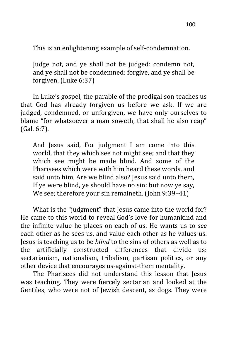This is an enlightening example of self-condemnation.

Judge not, and ye shall not be judged: condemn not, and ye shall not be condemned: forgive, and ye shall be forgiven. (Luke 6:37)

In Luke's gospel, the parable of the prodigal son teaches us that God has already forgiven us before we ask. If we are judged, condemned, or unforgiven, we have only ourselves to blame "for whatsoever a man soweth, that shall he also reap" (Gal. 6:7).

And Jesus said, For judgment I am come into this world, that they which see not might see; and that they which see might be made blind. And some of the Pharisees which were with him heard these words, and said unto him, Are we blind also? Jesus said unto them, If ye were blind, ye should have no sin: but now ye say, We see; therefore your sin remaineth. (John 9:39-41)

What is the "judgment" that Jesus came into the world for? He came to this world to reveal God's love for humankind and the infinite value he places on each of us. He wants us to *see* each other as he sees us, and value each other as he values us. Jesus is teaching us to be *blind* to the sins of others as well as to the artificially constructed differences that divide us: sectarianism, nationalism, tribalism, partisan politics, or any other device that encourages us-against-them mentality.

The Pharisees did not understand this lesson that Jesus was teaching. They were fiercely sectarian and looked at the Gentiles, who were not of Jewish descent, as dogs. They were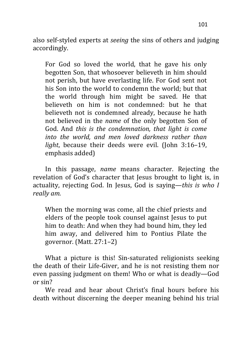also self-styled experts at *seeing* the sins of others and judging accordingly.

For God so loved the world, that he gave his only begotten Son, that whosoever believeth in him should not perish, but have everlasting life. For God sent not his Son into the world to condemn the world; but that the world through him might be saved. He that believeth on him is not condemned: but he that believeth not is condemned already, because he hath not believed in the *name* of the only begotten Son of God. And *this is the condemnation, that light is come into the world, and men loved darkness rather than light*, because their deeds were evil. (John 3:16–19, emphasis added)

In this passage, *name* means character. Rejecting the revelation of God's character that Jesus brought to light is, in actuality, rejecting God. In Jesus, God is saying—*this is who I really am.*

When the morning was come, all the chief priests and elders of the people took counsel against Jesus to put him to death: And when they had bound him, they led him away, and delivered him to Pontius Pilate the governor. (Matt. 27:1–2)

What a picture is this! Sin-saturated religionists seeking the death of their Life-Giver, and he is not resisting them nor even passing judgment on them! Who or what is deadly—God or sin?

We read and hear about Christ's final hours before his death without discerning the deeper meaning behind his trial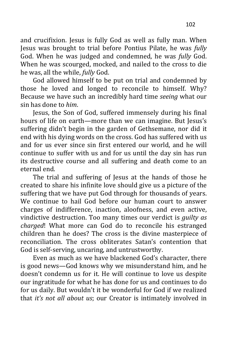and crucifixion. Jesus is fully God as well as fully man. When Jesus was brought to trial before Pontius Pilate, he was *fully* God. When he was judged and condemned, he was *fully* God. When he was scourged, mocked, and nailed to the cross to die he was, all the while, *fully* God.

God allowed himself to be put on trial and condemned by those he loved and longed to reconcile to himself. Why? Because we have such an incredibly hard time *seeing* what our sin has done to *him*.

Jesus, the Son of God, suffered immensely during his final hours of life on earth—more than we can imagine. But Jesus's suffering didn't begin in the garden of Gethsemane, nor did it end with his dying words on the cross. God has suffered with us and for us ever since sin first entered our world, and he will continue to suffer with us and for us until the day sin has run its destructive course and all suffering and death come to an eternal end.

The trial and suffering of Jesus at the hands of those he created to share his infinite love should give us a picture of the suffering that we have put God through for thousands of years. We continue to hail God before our human court to answer charges of indifference, inaction, aloofness, and even active, vindictive destruction. Too many times our verdict is *guilty as charged*! What more can God do to reconcile his estranged children than he does? The cross is the divine masterpiece of reconciliation. The cross obliterates Satan's contention that God is self-serving, uncaring, and untrustworthy.

Even as much as we have blackened God's character, there is good news—God knows why we misunderstand him, and he doesn't condemn us for it. He will continue to love us despite our ingratitude for what he has done for us and continues to do for us daily. But wouldn't it be wonderful for God if we realized that *it's not all about us*; our Creator is intimately involved in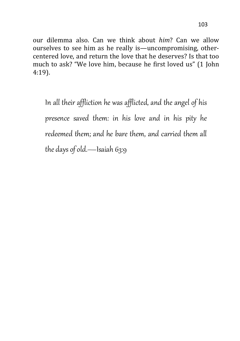our dilemma also. Can we think about *him*? Can we allow ourselves to see him as he really is—uncompromising, othercentered love, and return the love that he deserves? Is that too much to ask? "We love him, because he first loved us" (1 John 4:19).

In all their affliction he was afflicted, and the angel of his presence saved them: in his love and in his pity he redeemed them; and he bare them, and carried them all the days of old.—Isaiah 63:9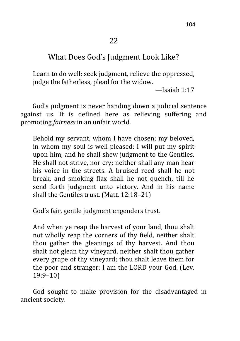## What Does God's Judgment Look Like?

Learn to do well; seek judgment, relieve the oppressed, judge the fatherless, plead for the widow*.*

—Isaiah 1:17

 God's judgment is never handing down a judicial sentence against us. It is defined here as relieving suffering and promoting *fairness* in an unfair world.

Behold my servant, whom I have chosen; my beloved, in whom my soul is well pleased: I will put my spirit upon him, and he shall shew judgment to the Gentiles. He shall not strive, nor cry; neither shall any man hear his voice in the streets. A bruised reed shall he not break, and smoking flax shall he not quench, till he send forth judgment unto victory. And in his name shall the Gentiles trust. (Matt. 12:18–21)

God's fair, gentle judgment engenders trust.

And when ye reap the harvest of your land, thou shalt not wholly reap the corners of thy field, neither shalt thou gather the gleanings of thy harvest. And thou shalt not glean thy vineyard, neither shalt thou gather every grape of thy vineyard; thou shalt leave them for the poor and stranger: I am the LORD your God. (Lev. 19:9–10)

God sought to make provision for the disadvantaged in ancient society.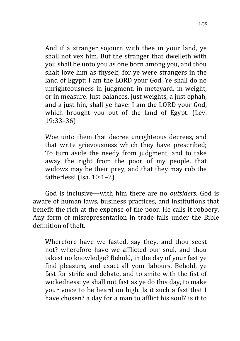And if a stranger sojourn with thee in your land, ye shall not vex him. But the stranger that dwelleth with you shall be unto you as one born among you, and thou shalt love him as thyself; for ye were strangers in the land of Egypt: I am the LORD your God. Ye shall do no unrighteousness in judgment, in meteyard, in weight, or in measure. Just balances, just weights, a just ephah, and a just hin, shall ye have: I am the LORD your God, which brought you out of the land of Egypt. (Lev. 19:33–36)

Woe unto them that decree unrighteous decrees, and that write grievousness which they have prescribed; To turn aside the needy from judgment, and to take away the right from the poor of my people, that widows may be their prey, and that they may rob the fatherless! (Isa. 10:1–2)

God is inclusive—with him there are no *outsiders.* God is aware of human laws, business practices, and institutions that benefit the rich at the expense of the poor. He calls it robbery. Any form of misrepresentation in trade falls under the Bible definition of theft.

Wherefore have we fasted, say they, and thou seest not? wherefore have we afflicted our soul, and thou takest no knowledge? Behold, in the day of your fast ye find pleasure, and exact all your labours. Behold, ye fast for strife and debate, and to smite with the fist of wickedness: ye shall not fast as ye do this day, to make your voice to be heard on high. Is it such a fast that I have chosen? a day for a man to afflict his soul? is it to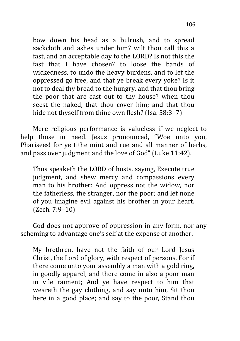bow down his head as a bulrush, and to spread sackcloth and ashes under him? wilt thou call this a fast, and an acceptable day to the LORD? Is not this the fast that I have chosen? to loose the bands of wickedness, to undo the heavy burdens, and to let the oppressed go free, and that ye break every yoke? Is it not to deal thy bread to the hungry, and that thou bring the poor that are cast out to thy house? when thou seest the naked, that thou cover him; and that thou hide not thyself from thine own flesh? (Isa. 58:3-7)

Mere religious performance is valueless if we neglect to help those in need. Jesus pronounced, "Woe unto you, Pharisees! for ye tithe mint and rue and all manner of herbs, and pass over judgment and the love of God" (Luke 11:42).

Thus speaketh the LORD of hosts, saying, Execute true judgment, and shew mercy and compassions every man to his brother: And oppress not the widow, nor the fatherless, the stranger, nor the poor; and let none of you imagine evil against his brother in your heart. (Zech. 7:9–10)

God does not approve of oppression in any form, nor any scheming to advantage one's self at the expense of another.

My brethren, have not the faith of our Lord Jesus Christ, the Lord of glory, with respect of persons. For if there come unto your assembly a man with a gold ring, in goodly apparel, and there come in also a poor man in vile raiment; And ye have respect to him that weareth the gay clothing, and say unto him, Sit thou here in a good place; and say to the poor, Stand thou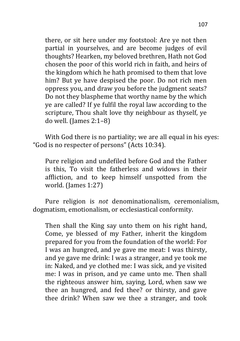there, or sit here under my footstool: Are ye not then partial in yourselves, and are become judges of evil thoughts? Hearken, my beloved brethren, Hath not God chosen the poor of this world rich in faith, and heirs of the kingdom which he hath promised to them that love him? But ye have despised the poor. Do not rich men oppress you, and draw you before the judgment seats? Do not they blaspheme that worthy name by the which ye are called? If ye fulfil the royal law according to the scripture, Thou shalt love thy neighbour as thyself, ye do well. (James 2:1–8)

With God there is no partiality; we are all equal in his eyes: "God is no respecter of persons" (Acts 10:34).

Pure religion and undefiled before God and the Father is this, To visit the fatherless and widows in their affliction, and to keep himself unspotted from the world. (James 1:27)

Pure religion is *not* denominationalism, ceremonialism, dogmatism, emotionalism, or ecclesiastical conformity.

Then shall the King say unto them on his right hand, Come, ye blessed of my Father, inherit the kingdom prepared for you from the foundation of the world: For I was an hungred, and ye gave me meat: I was thirsty, and ye gave me drink: I was a stranger, and ye took me in: Naked, and ye clothed me: I was sick, and ye visited me: I was in prison, and ye came unto me. Then shall the righteous answer him, saying, Lord, when saw we thee an hungred, and fed thee? or thirsty, and gave thee drink? When saw we thee a stranger, and took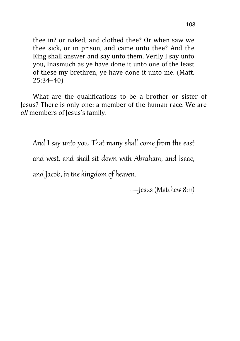thee in? or naked, and clothed thee? Or when saw we thee sick, or in prison, and came unto thee? And the King shall answer and say unto them, Verily I say unto you, Inasmuch as ye have done it unto one of the least of these my brethren, ye have done it unto me. (Matt. 25:34–40)

What are the qualifications to be a brother or sister of Jesus? There is only one: a member of the human race. We are *all* members of Jesus's family.

And I say unto you, That many shall come from the east and west, and shall sit down with Abraham, and Isaac, and Jacob, in the kingdom of heaven.

—Jesus (Matthew 8:11)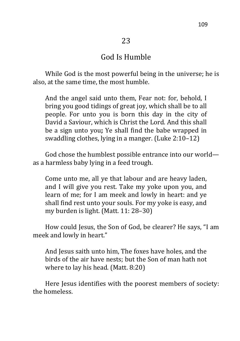#### God Is Humble

While God is the most powerful being in the universe; he is also, at the same time, the most humble.

And the angel said unto them, Fear not: for, behold, I bring you good tidings of great joy, which shall be to all people. For unto you is born this day in the city of David a Saviour, which is Christ the Lord. And this shall be a sign unto you**;** Ye shall find the babe wrapped in swaddling clothes, lying in a manger. (Luke 2:10–12)

God chose the humblest possible entrance into our world as a harmless baby lying in a feed trough.

Come unto me, all ye that labour and are heavy laden, and I will give you rest. Take my yoke upon you, and learn of me; for I am meek and lowly in heart: and ye shall find rest unto your souls. For my yoke is easy, and my burden is light. (Matt. 11: 28–30)

How could Jesus, the Son of God, be clearer? He says, "I am meek and lowly in heart."

And Jesus saith unto him, The foxes have holes, and the birds of the air have nests; but the Son of man hath not where to lay his head*.* (Matt. 8:20)

Here Jesus identifies with the poorest members of society: the homeless.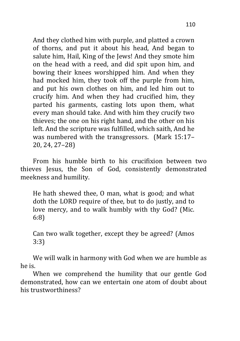And they clothed him with purple, and platted a crown of thorns, and put it about his head, And began to salute him, Hail, King of the Jews! And they smote him on the head with a reed, and did spit upon him, and bowing their knees worshipped him. And when they had mocked him, they took off the purple from him, and put his own clothes on him, and led him out to crucify him. And when they had crucified him, they parted his garments, casting lots upon them, what every man should take. And with him they crucify two thieves; the one on his right hand, and the other on his left. And the scripture was fulfilled, which saith, And he was numbered with the transgressors. (Mark 15:17– 20, 24, 27–28)

From his humble birth to his crucifixion between two thieves Jesus, the Son of God, consistently demonstrated meekness and humility.

He hath shewed thee, O man, what is good; and what doth the LORD require of thee, but to do justly, and to love mercy, and to walk humbly with thy God? (Mic. 6:8)

Can two walk together, except they be agreed? (Amos 3:3)

We will walk in harmony with God when we are humble as he is.

When we comprehend the humility that our gentle God demonstrated, how can we entertain one atom of doubt about his trustworthiness?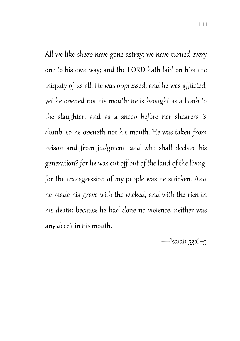All we like sheep have gone astray; we have turned every one to his own way; and the LORD hath laid on him the iniquity of us all. He was oppressed, and he was afflicted, yet he opened not his mouth: he is brought as a lamb to the slaughter, and as a sheep before her shearers is dumb, so he openeth not his mouth. He was taken from prison and from judgment: and who shall declare his generation? for he was cut off out of the land of the living: for the transgression of my people was he stricken. And he made his grave with the wicked, and with the rich in his death; because he had done no violence, neither was any deceit in his mouth.

—Isaiah 53:6–9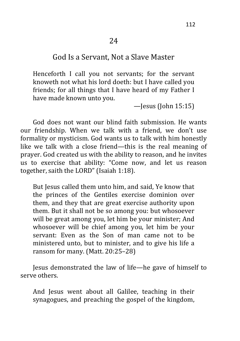#### God Is a Servant, Not a Slave Master

Henceforth I call you not servants; for the servant knoweth not what his lord doeth: but I have called you friends; for all things that I have heard of my Father I have made known unto you.

 $-$ Jesus (John 15:15)

God does not want our blind faith submission. He wants our friendship. When we talk with a friend, we don't use formality or mysticism. God wants us to talk with him honestly like we talk with a close friend—this is the real meaning of prayer. God created us with the ability to reason, and he invites us to exercise that ability: "Come now, and let us reason together, saith the LORD" (Isaiah 1:18).

But Jesus called them unto him, and said, Ye know that the princes of the Gentiles exercise dominion over them, and they that are great exercise authority upon them. But it shall not be so among you: but whosoever will be great among you, let him be your minister; And whosoever will be chief among you, let him be your servant: Even as the Son of man came not to be ministered unto, but to minister, and to give his life a ransom for many. (Matt. 20:25–28)

Jesus demonstrated the law of life—he gave of himself to serve others.

And Jesus went about all Galilee, teaching in their synagogues, and preaching the gospel of the kingdom,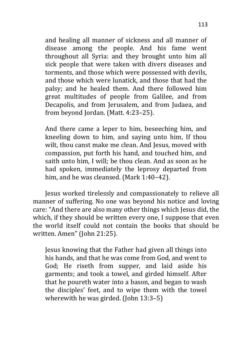and healing all manner of sickness and all manner of disease among the people. And his fame went throughout all Syria: and they brought unto him all sick people that were taken with divers diseases and torments, and those which were possessed with devils, and those which were lunatick, and those that had the palsy; and he healed them. And there followed him great multitudes of people from Galilee, and from Decapolis, and from Jerusalem, and from Judaea, and from beyond Jordan. (Matt. 4:23–25).

And there came a leper to him, beseeching him, and kneeling down to him, and saying unto him, If thou wilt, thou canst make me clean. And Jesus, moved with compassion, put forth his hand, and touched him, and saith unto him, I will; be thou clean. And as soon as he had spoken, immediately the leprosy departed from him, and he was cleansed. (Mark 1:40–42).

Jesus worked tirelessly and compassionately to relieve all manner of suffering. No one was beyond his notice and loving care: "And there are also many other things which Jesus did, the which, if they should be written every one, I suppose that even the world itself could not contain the books that should be written. Amen" (John 21:25).

Jesus knowing that the Father had given all things into his hands, and that he was come from God, and went to God; He riseth from supper, and laid aside his garments; and took a towel, and girded himself. After that he poureth water into a bason, and began to wash the disciples' feet, and to wipe them with the towel wherewith he was girded. (John 13:3-5)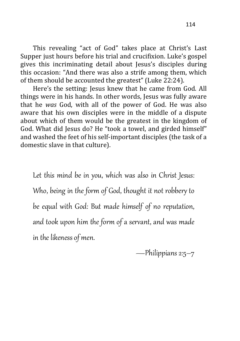This revealing "act of God" takes place at Christ's Last Supper just hours before his trial and crucifixion. Luke's gospel gives this incriminating detail about Jesus's disciples during this occasion: "And there was also a strife among them, which of them should be accounted the greatest" (Luke 22:24).

Here's the setting: Jesus knew that he came from God. All things were in his hands. In other words, Jesus was fully aware that he *was* God, with all of the power of God. He was also aware that his own disciples were in the middle of a dispute about which of them would be the greatest in the kingdom of God. What did Jesus do? He "took a towel, and girded himself" and washed the feet of his self-important disciples (the task of a domestic slave in that culture).

Let this mind be in you, which was also in Christ Jesus: Who, being in the form of God, thought it not robbery to be equal with God: But made himself of no reputation, and took upon him the form of a servant, and was made in the likeness of men.

—Philippians 2:5–7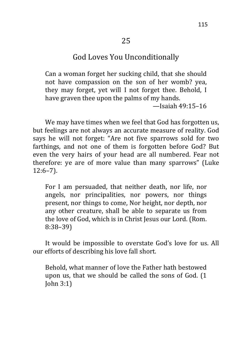# God Loves You Unconditionally

Can a woman forget her sucking child, that she should not have compassion on the son of her womb? yea, they may forget, yet will I not forget thee. Behold, I have graven thee upon the palms of my hands. —Isaiah 49:15–16

We may have times when we feel that God has forgotten us, but feelings are not always an accurate measure of reality. God says he will not forget: "Are not five sparrows sold for two farthings, and not one of them is forgotten before God? But even the very hairs of your head are all numbered. Fear not therefore: ye are of more value than many sparrows" (Luke 12:6–7).

For I am persuaded, that neither death, nor life, nor angels, nor principalities, nor powers, nor things present, nor things to come, Nor height, nor depth, nor any other creature, shall be able to separate us from the love of God, which is in Christ Jesus our Lord. (Rom. 8:38–39)

It would be impossible to overstate God's love for us. All our efforts of describing his love fall short.

Behold, what manner of love the Father hath bestowed upon us, that we should be called the sons of God. (1 John 3:1)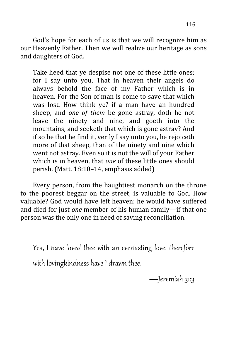God's hope for each of us is that we will recognize him as our Heavenly Father. Then we will realize our heritage as sons and daughters of God.

Take heed that ye despise not one of these little ones; for I say unto you, That in heaven their angels do always behold the face of my Father which is in heaven. For the Son of man is come to save that which was lost. How think ye? if a man have an hundred sheep, and *one of them* be gone astray, doth he not leave the ninety and nine, and goeth into the mountains, and seeketh that which is gone astray? And if so be that he find it, verily I say unto you, he rejoiceth more of that sheep, than of the ninety and nine which went not astray. Even so it is not the will of your Father which is in heaven, that *one* of these little ones should perish. (Matt. 18:10–14, emphasis added)

Every person, from the haughtiest monarch on the throne to the poorest beggar on the street, is valuable to God. How valuable? God would have left heaven; he would have suffered and died for just *one* member of his human family—if that one person was the only one in need of saving reconciliation.

Yea, I have loved thee with an everlasting love: therefore with lovingkindness have I drawn thee.

—Jeremiah 31:3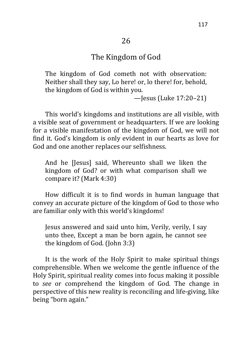## The Kingdom of God

The kingdom of God cometh not with observation: Neither shall they say, Lo here! or, lo there! for, behold, the kingdom of God is within you*.*

—Jesus (Luke 17:20–21)

This world's kingdoms and institutions are all visible, with a visible seat of government or headquarters. If we are looking for a visible manifestation of the kingdom of God, we will not find it. God's kingdom is only evident in our hearts as love for God and one another replaces our selfishness.

And he [Jesus] said, Whereunto shall we liken the kingdom of God? or with what comparison shall we compare it? (Mark 4:30)

How difficult it is to find words in human language that convey an accurate picture of the kingdom of God to those who are familiar only with this world's kingdoms!

Jesus answered and said unto him, Verily, verily, I say unto thee, Except a man be born again, he cannot see the kingdom of God. (John 3:3)

It is the work of the Holy Spirit to make spiritual things comprehensible. When we welcome the gentle influence of the Holy Spirit, spiritual reality comes into focus making it possible to *see* or comprehend the kingdom of God. The change in perspective of this new reality is reconciling and life-giving, like being "born again."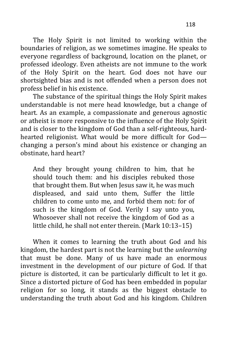The Holy Spirit is not limited to working within the boundaries of religion, as we sometimes imagine. He speaks to everyone regardless of background, location on the planet, or professed ideology. Even atheists are not immune to the work of the Holy Spirit on the heart. God does not have our shortsighted bias and is not offended when a person does not profess belief in his existence.

The substance of the spiritual things the Holy Spirit makes understandable is not mere head knowledge, but a change of heart. As an example, a compassionate and generous agnostic or atheist is more responsive to the influence of the Holy Spirit and is closer to the kingdom of God than a self-righteous, hardhearted religionist. What would be more difficult for God changing a person's mind about his existence or changing an obstinate, hard heart?

And they brought young children to him, that he should touch them: and his disciples rebuked those that brought them. But when Jesus saw it, he was much displeased, and said unto them, Suffer the little children to come unto me, and forbid them not: for of such is the kingdom of God. Verily I say unto you, Whosoever shall not receive the kingdom of God as a little child, he shall not enter therein. (Mark 10:13–15)

When it comes to learning the truth about God and his kingdom, the hardest part is not the learning but the *unlearning* that must be done. Many of us have made an enormous investment in the development of our picture of God. If that picture is distorted, it can be particularly difficult to let it go. Since a distorted picture of God has been embedded in popular religion for so long, it stands as the biggest obstacle to understanding the truth about God and his kingdom. Children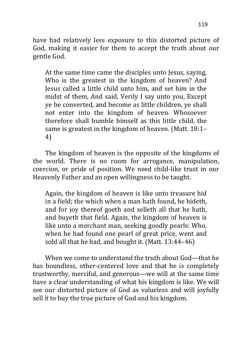have had relatively less exposure to this distorted picture of God, making it easier for them to accept the truth about our gentle God.

At the same time came the disciples unto Jesus, saying, Who is the greatest in the kingdom of heaven? And Jesus called a little child unto him, and set him in the midst of them, And said, Verily I say unto you, Except ye be converted, and become as little children, ye shall not enter into the kingdom of heaven. Whosoever therefore shall humble himself as this little child, the same is greatest in the kingdom of heaven. (Matt. 18:1– 4)

The kingdom of heaven is the opposite of the kingdoms of the world. There is no room for arrogance, manipulation, coercion, or pride of position. We need child-like trust in our Heavenly Father and an open willingness to be taught.

Again, the kingdom of heaven is like unto treasure hid in a field; the which when a man hath found, he hideth, and for joy thereof goeth and selleth all that he hath, and buyeth that field. Again, the kingdom of heaven is like unto a merchant man, seeking goodly pearls: Who, when he had found one pearl of great price, went and sold all that he had, and bought it. (Matt. 13:44–46)

When we come to understand the truth about God—that he has boundless, other-centered love and that he is completely trustworthy, merciful, and generous—we will at the same time have a clear understanding of what his kingdom is like. We will see our distorted picture of God as valueless and will joyfully sell it to buy the true picture of God and his kingdom.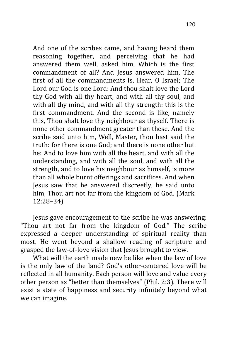And one of the scribes came, and having heard them reasoning together, and perceiving that he had answered them well, asked him, Which is the first commandment of all? And Jesus answered him, The first of all the commandments is, Hear, O Israel; The Lord our God is one Lord: And thou shalt love the Lord thy God with all thy heart, and with all thy soul, and with all thy mind, and with all thy strength: this is the first commandment. And the second is like, namely this, Thou shalt love thy neighbour as thyself. There is none other commandment greater than these. And the scribe said unto him, Well, Master, thou hast said the truth: for there is one God; and there is none other but he: And to love him with all the heart, and with all the understanding, and with all the soul, and with all the strength, and to love his neighbour as himself, is more than all whole burnt offerings and sacrifices. And when Jesus saw that he answered discreetly, he said unto him, Thou art not far from the kingdom of God. (Mark 12:28–34)

Jesus gave encouragement to the scribe he was answering: "Thou art not far from the kingdom of God." The scribe expressed a deeper understanding of spiritual reality than most. He went beyond a shallow reading of scripture and grasped the law-of-love vision that Jesus brought to view.

What will the earth made new be like when the law of love is the only law of the land? God's other-centered love will be reflected in all humanity. Each person will love and value every other person as "better than themselves" (Phil. 2:3). There will exist a state of happiness and security infinitely beyond what we can imagine.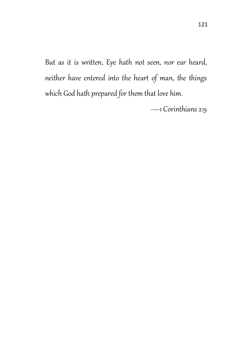But as it is written, Eye hath not seen, nor ear heard, neither have entered into the heart of man, the things which God hath prepared for them that love him.

—1 Corinthians 2:9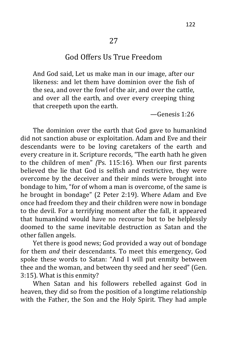#### God Offers Us True Freedom

And God said, Let us make man in our image, after our likeness: and let them have dominion over the fish of the sea, and over the fowl of the air, and over the cattle, and over all the earth, and over every creeping thing that creepeth upon the earth.

—Genesis 1:26

The dominion over the earth that God gave to humankind did not sanction abuse or exploitation. Adam and Eve and their descendants were to be loving caretakers of the earth and every creature in it. Scripture records, "The earth hath he given to the children of men" *(*Ps. 115:16). When our first parents believed the lie that God is selfish and restrictive, they were overcome by the deceiver and their minds were brought into bondage to him, "for of whom a man is overcome, of the same is he brought in bondage" (2 Peter 2:19). Where Adam and Eve once had freedom they and their children were now in bondage to the devil. For a terrifying moment after the fall, it appeared that humankind would have no recourse but to be helplessly doomed to the same inevitable destruction as Satan and the other fallen angels.

Yet there is good news; God provided a way out of bondage for them *and* their descendants. To meet this emergency, God spoke these words to Satan: "And I will put enmity between thee and the woman, and between thy seed and her seed" (Gen. 3:15). What is this enmity?

When Satan and his followers rebelled against God in heaven, they did so from the position of a longtime relationship with the Father, the Son and the Holy Spirit. They had ample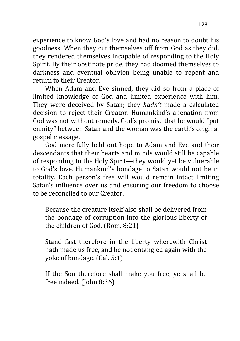experience to know God's love and had no reason to doubt his goodness. When they cut themselves off from God as they did, they rendered themselves incapable of responding to the Holy Spirit. By their obstinate pride, they had doomed themselves to darkness and eventual oblivion being unable to repent and return to their Creator.

When Adam and Eve sinned, they did so from a place of limited knowledge of God and limited experience with him. They were deceived by Satan; they *hadn't* made a calculated decision to reject their Creator. Humankind's alienation from God was not without remedy. God's promise that he would "put enmity" between Satan and the woman was the earth's original gospel message.

God mercifully held out hope to Adam and Eve and their descendants that their hearts and minds would still be capable of responding to the Holy Spirit—they would yet be vulnerable to God's love. Humankind's bondage to Satan would not be in totality. Each person's free will would remain intact limiting Satan's influence over us and ensuring our freedom to choose to be reconciled to our Creator.

Because the creature itself also shall be delivered from the bondage of corruption into the glorious liberty of the children of God. (Rom. 8:21)

Stand fast therefore in the liberty wherewith Christ hath made us free, and be not entangled again with the yoke of bondage. (Gal. 5:1)

If the Son therefore shall make you free, ye shall be free indeed. (John 8:36)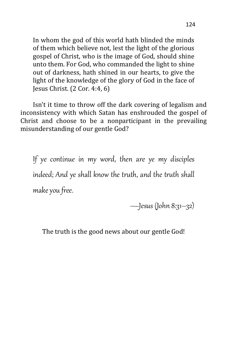In whom the god of this world hath blinded the minds of them which believe not, lest the light of the glorious gospel of Christ, who is the image of God, should shine unto them. For God, who commanded the light to shine out of darkness, hath shined in our hearts, to give the light of the knowledge of the glory of God in the face of Jesus Christ. (2 Cor. 4:4, 6)

Isn't it time to throw off the dark covering of legalism and inconsistency with which Satan has enshrouded the gospel of Christ and choose to be a nonparticipant in the prevailing misunderstanding of our gentle God?

If ye continue in my word, then are ye my disciples indeed; And ye shall know the truth, and the truth shall make you free.

—Jesus (John 8:31–32)

The truth is the good news about our gentle God!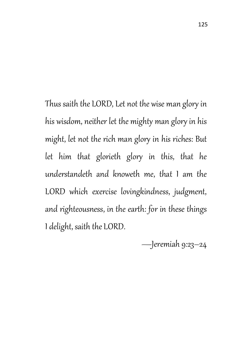Thus saith the LORD, Let not the wise man glory in his wisdom, neither let the mighty man glory in his might, let not the rich man glory in his riches: But let him that glorieth glory in this, that he understandeth and knoweth me, that I am the LORD which exercise lovingkindness, judgment, and righteousness, in the earth: for in these things I delight, saith the LORD.

—Jeremiah 9:23–24